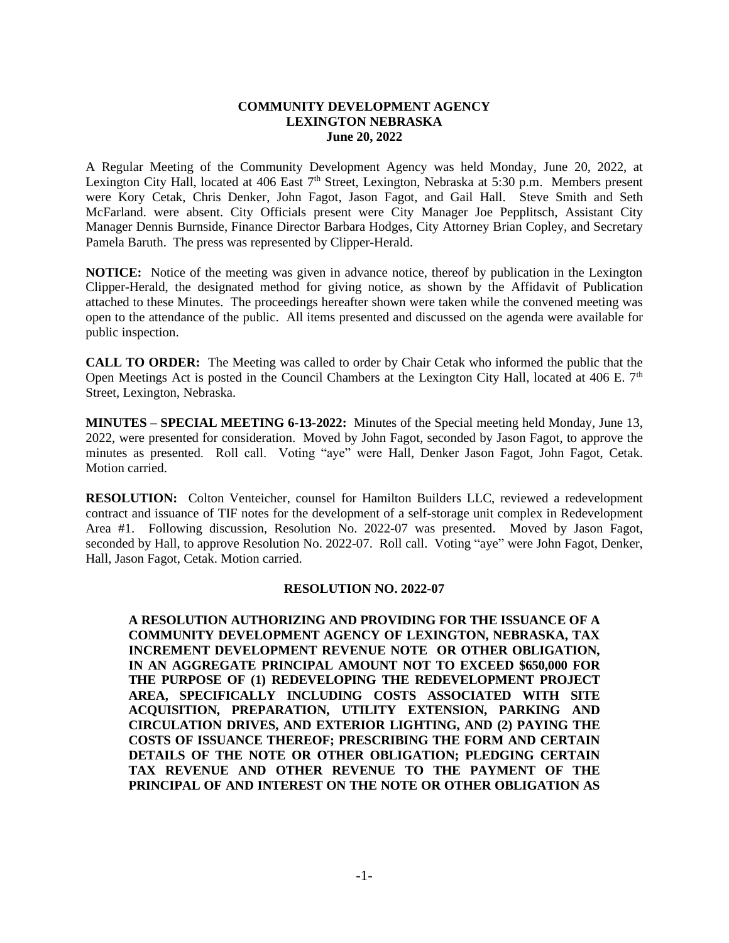## **COMMUNITY DEVELOPMENT AGENCY LEXINGTON NEBRASKA June 20, 2022**

A Regular Meeting of the Community Development Agency was held Monday, June 20, 2022, at Lexington City Hall, located at 406 East 7<sup>th</sup> Street, Lexington, Nebraska at 5:30 p.m. Members present were Kory Cetak, Chris Denker, John Fagot, Jason Fagot, and Gail Hall. Steve Smith and Seth McFarland. were absent. City Officials present were City Manager Joe Pepplitsch, Assistant City Manager Dennis Burnside, Finance Director Barbara Hodges, City Attorney Brian Copley, and Secretary Pamela Baruth. The press was represented by Clipper-Herald.

**NOTICE:** Notice of the meeting was given in advance notice, thereof by publication in the Lexington Clipper-Herald, the designated method for giving notice, as shown by the Affidavit of Publication attached to these Minutes. The proceedings hereafter shown were taken while the convened meeting was open to the attendance of the public. All items presented and discussed on the agenda were available for public inspection.

**CALL TO ORDER:** The Meeting was called to order by Chair Cetak who informed the public that the Open Meetings Act is posted in the Council Chambers at the Lexington City Hall, located at 406 E.  $7<sup>th</sup>$ Street, Lexington, Nebraska.

**MINUTES – SPECIAL MEETING 6-13-2022:** Minutes of the Special meeting held Monday, June 13, 2022, were presented for consideration. Moved by John Fagot, seconded by Jason Fagot, to approve the minutes as presented. Roll call. Voting "aye" were Hall, Denker Jason Fagot, John Fagot, Cetak. Motion carried.

**RESOLUTION:** Colton Venteicher, counsel for Hamilton Builders LLC, reviewed a redevelopment contract and issuance of TIF notes for the development of a self-storage unit complex in Redevelopment Area #1. Following discussion, Resolution No. 2022-07 was presented. Moved by Jason Fagot, seconded by Hall, to approve Resolution No. 2022-07. Roll call. Voting "aye" were John Fagot, Denker, Hall, Jason Fagot, Cetak. Motion carried.

## **RESOLUTION NO. 2022-07**

**A RESOLUTION AUTHORIZING AND PROVIDING FOR THE ISSUANCE OF A COMMUNITY DEVELOPMENT AGENCY OF LEXINGTON, NEBRASKA, TAX INCREMENT DEVELOPMENT REVENUE NOTE OR OTHER OBLIGATION, IN AN AGGREGATE PRINCIPAL AMOUNT NOT TO EXCEED \$650,000 FOR THE PURPOSE OF (1) REDEVELOPING THE REDEVELOPMENT PROJECT AREA, SPECIFICALLY INCLUDING COSTS ASSOCIATED WITH SITE ACQUISITION, PREPARATION, UTILITY EXTENSION, PARKING AND CIRCULATION DRIVES, AND EXTERIOR LIGHTING, AND (2) PAYING THE COSTS OF ISSUANCE THEREOF; PRESCRIBING THE FORM AND CERTAIN DETAILS OF THE NOTE OR OTHER OBLIGATION; PLEDGING CERTAIN TAX REVENUE AND OTHER REVENUE TO THE PAYMENT OF THE PRINCIPAL OF AND INTEREST ON THE NOTE OR OTHER OBLIGATION AS**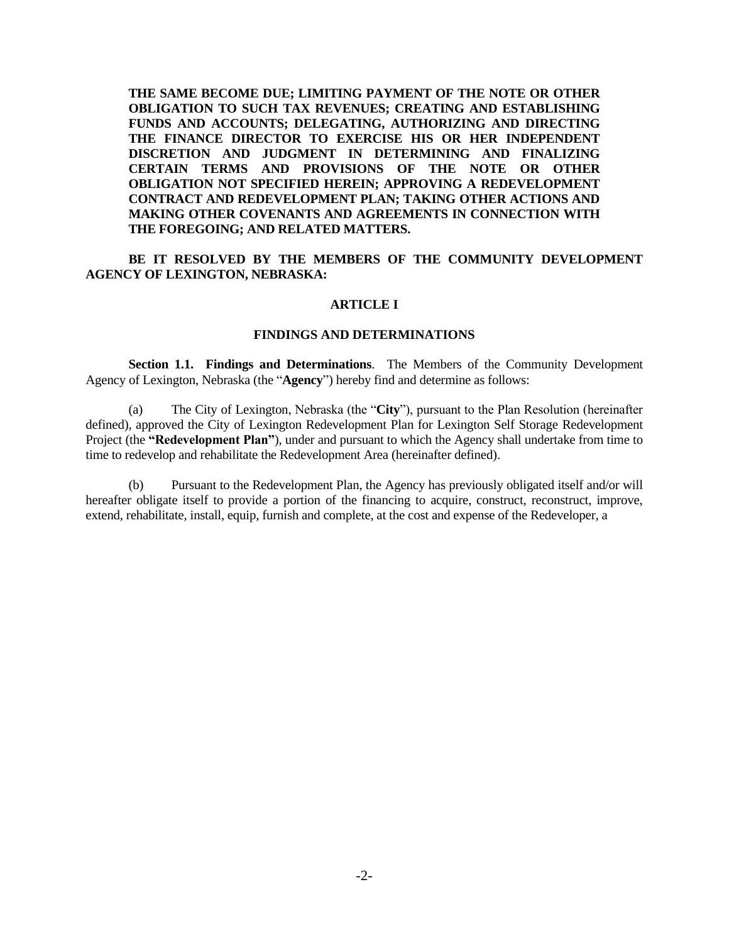**THE SAME BECOME DUE; LIMITING PAYMENT OF THE NOTE OR OTHER OBLIGATION TO SUCH TAX REVENUES; CREATING AND ESTABLISHING FUNDS AND ACCOUNTS; DELEGATING, AUTHORIZING AND DIRECTING THE FINANCE DIRECTOR TO EXERCISE HIS OR HER INDEPENDENT DISCRETION AND JUDGMENT IN DETERMINING AND FINALIZING CERTAIN TERMS AND PROVISIONS OF THE NOTE OR OTHER OBLIGATION NOT SPECIFIED HEREIN; APPROVING A REDEVELOPMENT CONTRACT AND REDEVELOPMENT PLAN; TAKING OTHER ACTIONS AND MAKING OTHER COVENANTS AND AGREEMENTS IN CONNECTION WITH THE FOREGOING; AND RELATED MATTERS.**

**BE IT RESOLVED BY THE MEMBERS OF THE COMMUNITY DEVELOPMENT AGENCY OF LEXINGTON, NEBRASKA:**

#### **ARTICLE I**

## **FINDINGS AND DETERMINATIONS**

**Section 1.1. Findings and Determinations**. The Members of the Community Development Agency of Lexington, Nebraska (the "**Agency**") hereby find and determine as follows:

(a) The City of Lexington, Nebraska (the "**City**"), pursuant to the Plan Resolution (hereinafter defined), approved the City of Lexington Redevelopment Plan for Lexington Self Storage Redevelopment Project (the **"Redevelopment Plan"**), under and pursuant to which the Agency shall undertake from time to time to redevelop and rehabilitate the Redevelopment Area (hereinafter defined).

(b) Pursuant to the Redevelopment Plan, the Agency has previously obligated itself and/or will hereafter obligate itself to provide a portion of the financing to acquire, construct, reconstruct, improve, extend, rehabilitate, install, equip, furnish and complete, at the cost and expense of the Redeveloper, a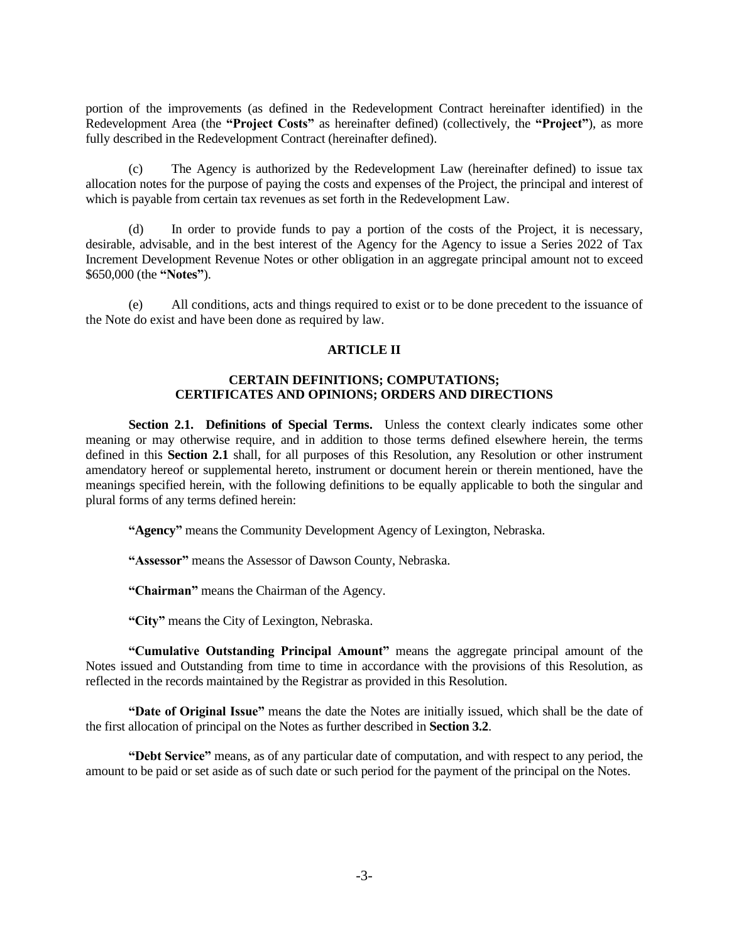portion of the improvements (as defined in the Redevelopment Contract hereinafter identified) in the Redevelopment Area (the **"Project Costs"** as hereinafter defined) (collectively, the **"Project"**), as more fully described in the Redevelopment Contract (hereinafter defined).

(c) The Agency is authorized by the Redevelopment Law (hereinafter defined) to issue tax allocation notes for the purpose of paying the costs and expenses of the Project, the principal and interest of which is payable from certain tax revenues as set forth in the Redevelopment Law.

(d) In order to provide funds to pay a portion of the costs of the Project, it is necessary, desirable, advisable, and in the best interest of the Agency for the Agency to issue a Series 2022 of Tax Increment Development Revenue Notes or other obligation in an aggregate principal amount not to exceed \$650,000 (the **"Notes"**).

(e) All conditions, acts and things required to exist or to be done precedent to the issuance of the Note do exist and have been done as required by law.

## **ARTICLE II**

# **CERTAIN DEFINITIONS; COMPUTATIONS; CERTIFICATES AND OPINIONS; ORDERS AND DIRECTIONS**

Section 2.1. Definitions of Special Terms. Unless the context clearly indicates some other meaning or may otherwise require, and in addition to those terms defined elsewhere herein, the terms defined in this **Section 2.1** shall, for all purposes of this Resolution, any Resolution or other instrument amendatory hereof or supplemental hereto, instrument or document herein or therein mentioned, have the meanings specified herein, with the following definitions to be equally applicable to both the singular and plural forms of any terms defined herein:

**"Agency"** means the Community Development Agency of Lexington, Nebraska.

**"Assessor"** means the Assessor of Dawson County, Nebraska.

**"Chairman"** means the Chairman of the Agency.

**"City"** means the City of Lexington, Nebraska.

**"Cumulative Outstanding Principal Amount"** means the aggregate principal amount of the Notes issued and Outstanding from time to time in accordance with the provisions of this Resolution, as reflected in the records maintained by the Registrar as provided in this Resolution.

**"Date of Original Issue"** means the date the Notes are initially issued, which shall be the date of the first allocation of principal on the Notes as further described in **Section 3.2**.

**"Debt Service"** means, as of any particular date of computation, and with respect to any period, the amount to be paid or set aside as of such date or such period for the payment of the principal on the Notes.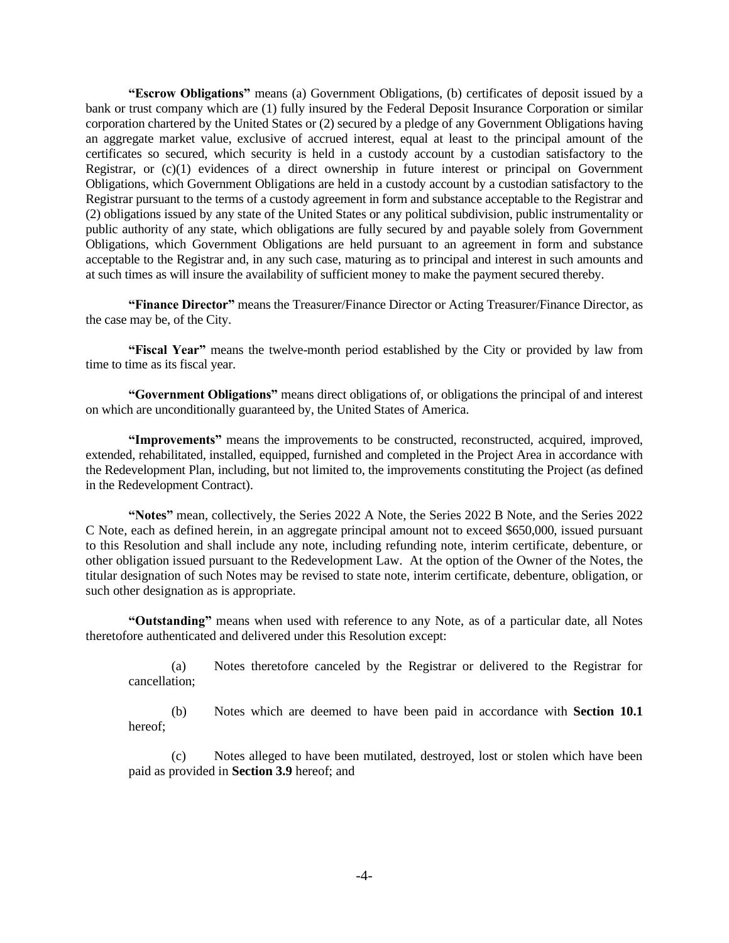**"Escrow Obligations"** means (a) Government Obligations, (b) certificates of deposit issued by a bank or trust company which are (1) fully insured by the Federal Deposit Insurance Corporation or similar corporation chartered by the United States or (2) secured by a pledge of any Government Obligations having an aggregate market value, exclusive of accrued interest, equal at least to the principal amount of the certificates so secured, which security is held in a custody account by a custodian satisfactory to the Registrar, or (c)(1) evidences of a direct ownership in future interest or principal on Government Obligations, which Government Obligations are held in a custody account by a custodian satisfactory to the Registrar pursuant to the terms of a custody agreement in form and substance acceptable to the Registrar and (2) obligations issued by any state of the United States or any political subdivision, public instrumentality or public authority of any state, which obligations are fully secured by and payable solely from Government Obligations, which Government Obligations are held pursuant to an agreement in form and substance acceptable to the Registrar and, in any such case, maturing as to principal and interest in such amounts and at such times as will insure the availability of sufficient money to make the payment secured thereby.

**"Finance Director"** means the Treasurer/Finance Director or Acting Treasurer/Finance Director, as the case may be, of the City.

**"Fiscal Year"** means the twelve-month period established by the City or provided by law from time to time as its fiscal year.

**"Government Obligations"** means direct obligations of, or obligations the principal of and interest on which are unconditionally guaranteed by, the United States of America.

**"Improvements"** means the improvements to be constructed, reconstructed, acquired, improved, extended, rehabilitated, installed, equipped, furnished and completed in the Project Area in accordance with the Redevelopment Plan, including, but not limited to, the improvements constituting the Project (as defined in the Redevelopment Contract).

**"Notes"** mean, collectively, the Series 2022 A Note, the Series 2022 B Note, and the Series 2022 C Note, each as defined herein, in an aggregate principal amount not to exceed \$650,000, issued pursuant to this Resolution and shall include any note, including refunding note, interim certificate, debenture, or other obligation issued pursuant to the Redevelopment Law. At the option of the Owner of the Notes, the titular designation of such Notes may be revised to state note, interim certificate, debenture, obligation, or such other designation as is appropriate.

**"Outstanding"** means when used with reference to any Note, as of a particular date, all Notes theretofore authenticated and delivered under this Resolution except:

(a) Notes theretofore canceled by the Registrar or delivered to the Registrar for cancellation;

(b) Notes which are deemed to have been paid in accordance with **Section 10.1** hereof;

(c) Notes alleged to have been mutilated, destroyed, lost or stolen which have been paid as provided in **Section 3.9** hereof; and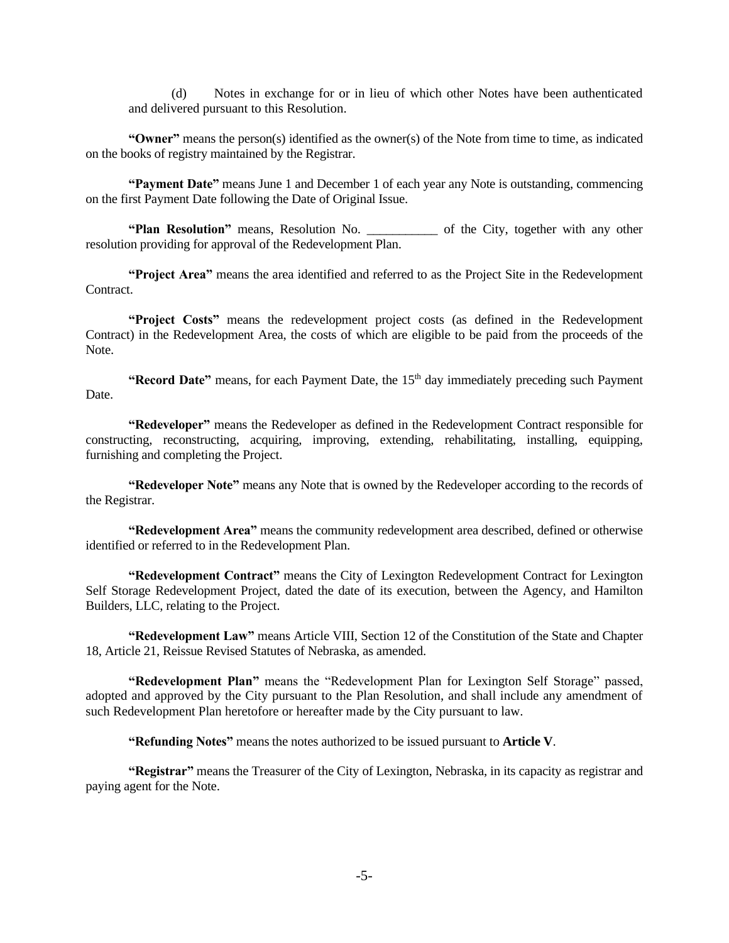(d) Notes in exchange for or in lieu of which other Notes have been authenticated and delivered pursuant to this Resolution.

**"Owner"** means the person(s) identified as the owner(s) of the Note from time to time, as indicated on the books of registry maintained by the Registrar.

**"Payment Date"** means June 1 and December 1 of each year any Note is outstanding, commencing on the first Payment Date following the Date of Original Issue.

**"Plan Resolution"** means, Resolution No. \_\_\_\_\_\_\_\_\_\_\_ of the City, together with any other resolution providing for approval of the Redevelopment Plan.

**"Project Area"** means the area identified and referred to as the Project Site in the Redevelopment Contract.

**"Project Costs"** means the redevelopment project costs (as defined in the Redevelopment Contract) in the Redevelopment Area, the costs of which are eligible to be paid from the proceeds of the Note.

"Record Date" means, for each Payment Date, the 15<sup>th</sup> day immediately preceding such Payment Date.

**"Redeveloper"** means the Redeveloper as defined in the Redevelopment Contract responsible for constructing, reconstructing, acquiring, improving, extending, rehabilitating, installing, equipping, furnishing and completing the Project.

**"Redeveloper Note"** means any Note that is owned by the Redeveloper according to the records of the Registrar.

**"Redevelopment Area"** means the community redevelopment area described, defined or otherwise identified or referred to in the Redevelopment Plan.

**"Redevelopment Contract"** means the City of Lexington Redevelopment Contract for Lexington Self Storage Redevelopment Project, dated the date of its execution, between the Agency, and Hamilton Builders, LLC, relating to the Project.

**"Redevelopment Law"** means Article VIII, Section 12 of the Constitution of the State and Chapter 18, Article 21, Reissue Revised Statutes of Nebraska, as amended.

**"Redevelopment Plan"** means the "Redevelopment Plan for Lexington Self Storage" passed, adopted and approved by the City pursuant to the Plan Resolution, and shall include any amendment of such Redevelopment Plan heretofore or hereafter made by the City pursuant to law.

**"Refunding Notes"** means the notes authorized to be issued pursuant to **Article V**.

**"Registrar"** means the Treasurer of the City of Lexington, Nebraska, in its capacity as registrar and paying agent for the Note.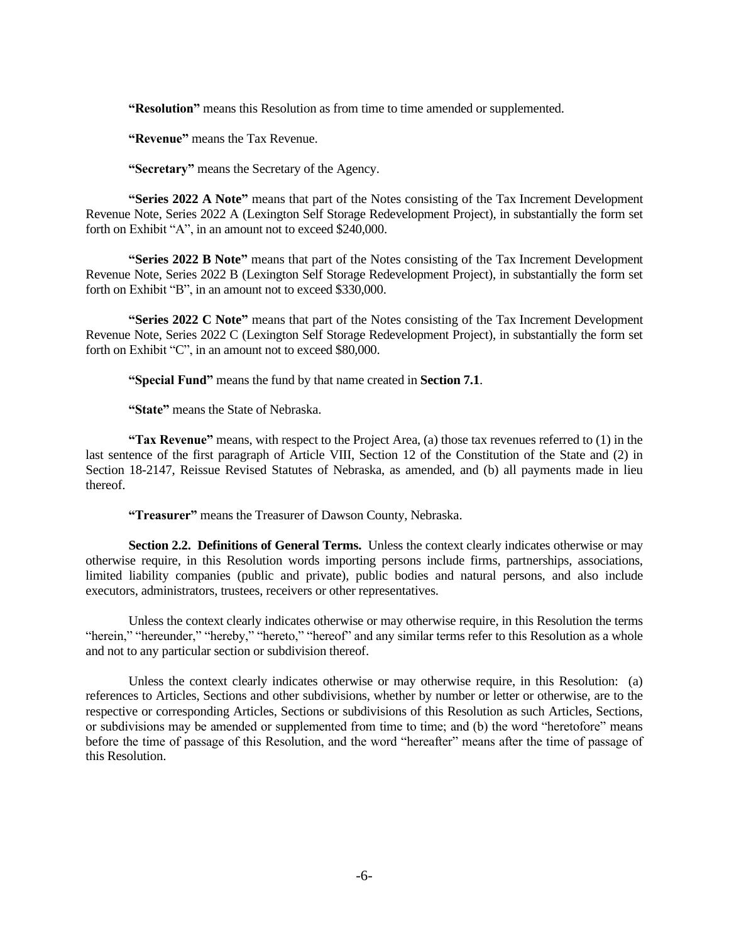**"Resolution"** means this Resolution as from time to time amended or supplemented.

**"Revenue"** means the Tax Revenue.

**"Secretary"** means the Secretary of the Agency.

**"Series 2022 A Note"** means that part of the Notes consisting of the Tax Increment Development Revenue Note, Series 2022 A (Lexington Self Storage Redevelopment Project), in substantially the form set forth on Exhibit "A", in an amount not to exceed \$240,000.

**"Series 2022 B Note"** means that part of the Notes consisting of the Tax Increment Development Revenue Note, Series 2022 B (Lexington Self Storage Redevelopment Project), in substantially the form set forth on Exhibit "B", in an amount not to exceed \$330,000.

**"Series 2022 C Note"** means that part of the Notes consisting of the Tax Increment Development Revenue Note, Series 2022 C (Lexington Self Storage Redevelopment Project), in substantially the form set forth on Exhibit "C", in an amount not to exceed \$80,000.

**"Special Fund"** means the fund by that name created in **Section 7.1**.

**"State"** means the State of Nebraska.

**"Tax Revenue"** means, with respect to the Project Area, (a) those tax revenues referred to (1) in the last sentence of the first paragraph of Article VIII, Section 12 of the Constitution of the State and (2) in Section 18-2147, Reissue Revised Statutes of Nebraska, as amended, and (b) all payments made in lieu thereof.

**"Treasurer"** means the Treasurer of Dawson County, Nebraska.

**Section 2.2. Definitions of General Terms.** Unless the context clearly indicates otherwise or may otherwise require, in this Resolution words importing persons include firms, partnerships, associations, limited liability companies (public and private), public bodies and natural persons, and also include executors, administrators, trustees, receivers or other representatives.

Unless the context clearly indicates otherwise or may otherwise require, in this Resolution the terms "herein," "hereunder," "hereby," "hereto," "hereof" and any similar terms refer to this Resolution as a whole and not to any particular section or subdivision thereof.

Unless the context clearly indicates otherwise or may otherwise require, in this Resolution: (a) references to Articles, Sections and other subdivisions, whether by number or letter or otherwise, are to the respective or corresponding Articles, Sections or subdivisions of this Resolution as such Articles, Sections, or subdivisions may be amended or supplemented from time to time; and (b) the word "heretofore" means before the time of passage of this Resolution, and the word "hereafter" means after the time of passage of this Resolution.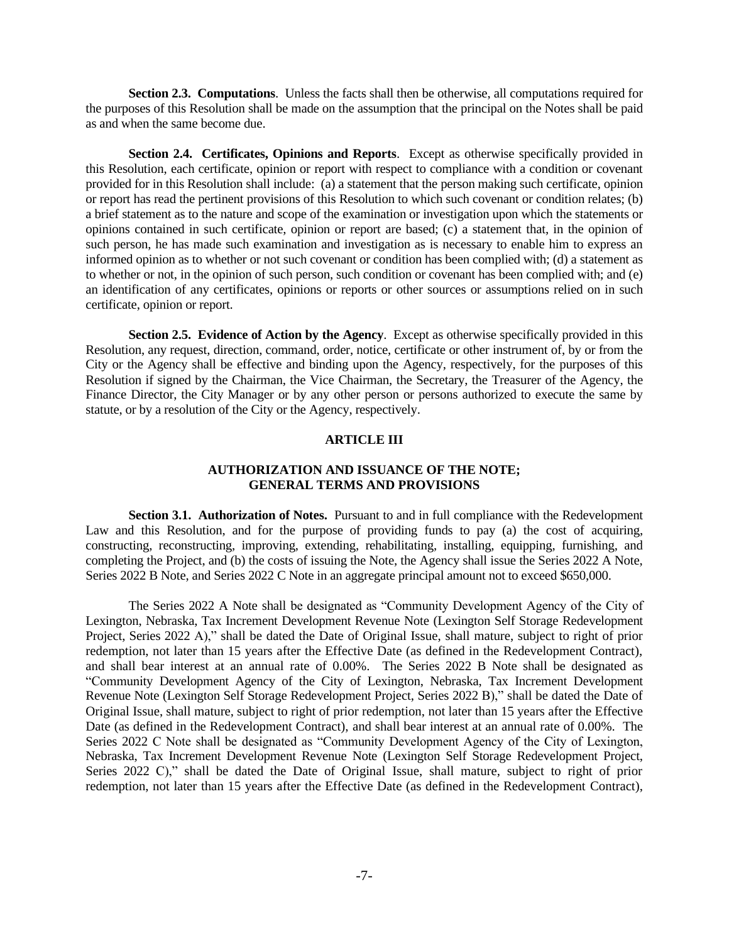**Section 2.3. Computations**. Unless the facts shall then be otherwise, all computations required for the purposes of this Resolution shall be made on the assumption that the principal on the Notes shall be paid as and when the same become due.

**Section 2.4. Certificates, Opinions and Reports**. Except as otherwise specifically provided in this Resolution, each certificate, opinion or report with respect to compliance with a condition or covenant provided for in this Resolution shall include: (a) a statement that the person making such certificate, opinion or report has read the pertinent provisions of this Resolution to which such covenant or condition relates; (b) a brief statement as to the nature and scope of the examination or investigation upon which the statements or opinions contained in such certificate, opinion or report are based; (c) a statement that, in the opinion of such person, he has made such examination and investigation as is necessary to enable him to express an informed opinion as to whether or not such covenant or condition has been complied with; (d) a statement as to whether or not, in the opinion of such person, such condition or covenant has been complied with; and (e) an identification of any certificates, opinions or reports or other sources or assumptions relied on in such certificate, opinion or report.

**Section 2.5. Evidence of Action by the Agency**. Except as otherwise specifically provided in this Resolution, any request, direction, command, order, notice, certificate or other instrument of, by or from the City or the Agency shall be effective and binding upon the Agency, respectively, for the purposes of this Resolution if signed by the Chairman, the Vice Chairman, the Secretary, the Treasurer of the Agency, the Finance Director, the City Manager or by any other person or persons authorized to execute the same by statute, or by a resolution of the City or the Agency, respectively.

## **ARTICLE III**

## **AUTHORIZATION AND ISSUANCE OF THE NOTE; GENERAL TERMS AND PROVISIONS**

**Section 3.1. Authorization of Notes.** Pursuant to and in full compliance with the Redevelopment Law and this Resolution, and for the purpose of providing funds to pay (a) the cost of acquiring, constructing, reconstructing, improving, extending, rehabilitating, installing, equipping, furnishing, and completing the Project, and (b) the costs of issuing the Note, the Agency shall issue the Series 2022 A Note, Series 2022 B Note, and Series 2022 C Note in an aggregate principal amount not to exceed \$650,000.

The Series 2022 A Note shall be designated as "Community Development Agency of the City of Lexington, Nebraska, Tax Increment Development Revenue Note (Lexington Self Storage Redevelopment Project, Series 2022 A)," shall be dated the Date of Original Issue, shall mature, subject to right of prior redemption, not later than 15 years after the Effective Date (as defined in the Redevelopment Contract), and shall bear interest at an annual rate of 0.00%. The Series 2022 B Note shall be designated as "Community Development Agency of the City of Lexington, Nebraska, Tax Increment Development Revenue Note (Lexington Self Storage Redevelopment Project, Series 2022 B)," shall be dated the Date of Original Issue, shall mature, subject to right of prior redemption, not later than 15 years after the Effective Date (as defined in the Redevelopment Contract), and shall bear interest at an annual rate of 0.00%. The Series 2022 C Note shall be designated as "Community Development Agency of the City of Lexington, Nebraska, Tax Increment Development Revenue Note (Lexington Self Storage Redevelopment Project, Series 2022 C)," shall be dated the Date of Original Issue, shall mature, subject to right of prior redemption, not later than 15 years after the Effective Date (as defined in the Redevelopment Contract),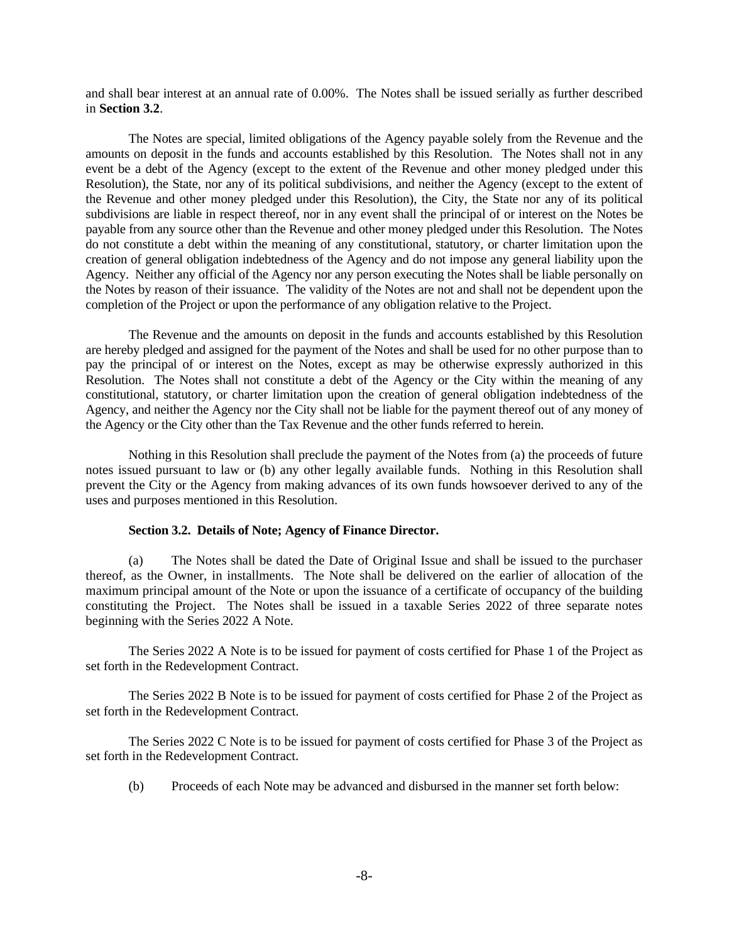and shall bear interest at an annual rate of 0.00%. The Notes shall be issued serially as further described in **Section 3.2**.

The Notes are special, limited obligations of the Agency payable solely from the Revenue and the amounts on deposit in the funds and accounts established by this Resolution. The Notes shall not in any event be a debt of the Agency (except to the extent of the Revenue and other money pledged under this Resolution), the State, nor any of its political subdivisions, and neither the Agency (except to the extent of the Revenue and other money pledged under this Resolution), the City, the State nor any of its political subdivisions are liable in respect thereof, nor in any event shall the principal of or interest on the Notes be payable from any source other than the Revenue and other money pledged under this Resolution. The Notes do not constitute a debt within the meaning of any constitutional, statutory, or charter limitation upon the creation of general obligation indebtedness of the Agency and do not impose any general liability upon the Agency. Neither any official of the Agency nor any person executing the Notes shall be liable personally on the Notes by reason of their issuance. The validity of the Notes are not and shall not be dependent upon the completion of the Project or upon the performance of any obligation relative to the Project.

The Revenue and the amounts on deposit in the funds and accounts established by this Resolution are hereby pledged and assigned for the payment of the Notes and shall be used for no other purpose than to pay the principal of or interest on the Notes, except as may be otherwise expressly authorized in this Resolution. The Notes shall not constitute a debt of the Agency or the City within the meaning of any constitutional, statutory, or charter limitation upon the creation of general obligation indebtedness of the Agency, and neither the Agency nor the City shall not be liable for the payment thereof out of any money of the Agency or the City other than the Tax Revenue and the other funds referred to herein.

Nothing in this Resolution shall preclude the payment of the Notes from (a) the proceeds of future notes issued pursuant to law or (b) any other legally available funds. Nothing in this Resolution shall prevent the City or the Agency from making advances of its own funds howsoever derived to any of the uses and purposes mentioned in this Resolution.

#### **Section 3.2. Details of Note; Agency of Finance Director.**

(a) The Notes shall be dated the Date of Original Issue and shall be issued to the purchaser thereof, as the Owner, in installments. The Note shall be delivered on the earlier of allocation of the maximum principal amount of the Note or upon the issuance of a certificate of occupancy of the building constituting the Project. The Notes shall be issued in a taxable Series 2022 of three separate notes beginning with the Series 2022 A Note.

The Series 2022 A Note is to be issued for payment of costs certified for Phase 1 of the Project as set forth in the Redevelopment Contract.

The Series 2022 B Note is to be issued for payment of costs certified for Phase 2 of the Project as set forth in the Redevelopment Contract.

The Series 2022 C Note is to be issued for payment of costs certified for Phase 3 of the Project as set forth in the Redevelopment Contract.

(b) Proceeds of each Note may be advanced and disbursed in the manner set forth below: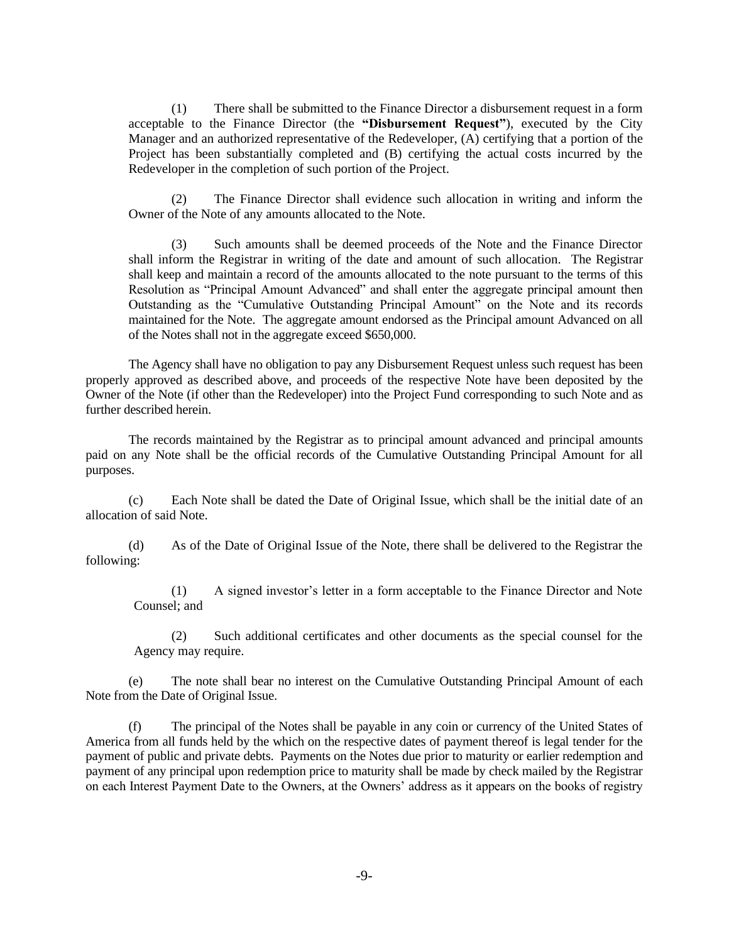(1) There shall be submitted to the Finance Director a disbursement request in a form acceptable to the Finance Director (the **"Disbursement Request"**), executed by the City Manager and an authorized representative of the Redeveloper,  $(A)$  certifying that a portion of the Project has been substantially completed and (B) certifying the actual costs incurred by the Redeveloper in the completion of such portion of the Project.

(2) The Finance Director shall evidence such allocation in writing and inform the Owner of the Note of any amounts allocated to the Note.

(3) Such amounts shall be deemed proceeds of the Note and the Finance Director shall inform the Registrar in writing of the date and amount of such allocation. The Registrar shall keep and maintain a record of the amounts allocated to the note pursuant to the terms of this Resolution as "Principal Amount Advanced" and shall enter the aggregate principal amount then Outstanding as the "Cumulative Outstanding Principal Amount" on the Note and its records maintained for the Note. The aggregate amount endorsed as the Principal amount Advanced on all of the Notes shall not in the aggregate exceed \$650,000.

The Agency shall have no obligation to pay any Disbursement Request unless such request has been properly approved as described above, and proceeds of the respective Note have been deposited by the Owner of the Note (if other than the Redeveloper) into the Project Fund corresponding to such Note and as further described herein.

The records maintained by the Registrar as to principal amount advanced and principal amounts paid on any Note shall be the official records of the Cumulative Outstanding Principal Amount for all purposes.

(c) Each Note shall be dated the Date of Original Issue, which shall be the initial date of an allocation of said Note.

(d) As of the Date of Original Issue of the Note, there shall be delivered to the Registrar the following:

(1) A signed investor's letter in a form acceptable to the Finance Director and Note Counsel; and

(2) Such additional certificates and other documents as the special counsel for the Agency may require.

(e) The note shall bear no interest on the Cumulative Outstanding Principal Amount of each Note from the Date of Original Issue.

(f) The principal of the Notes shall be payable in any coin or currency of the United States of America from all funds held by the which on the respective dates of payment thereof is legal tender for the payment of public and private debts. Payments on the Notes due prior to maturity or earlier redemption and payment of any principal upon redemption price to maturity shall be made by check mailed by the Registrar on each Interest Payment Date to the Owners, at the Owners' address as it appears on the books of registry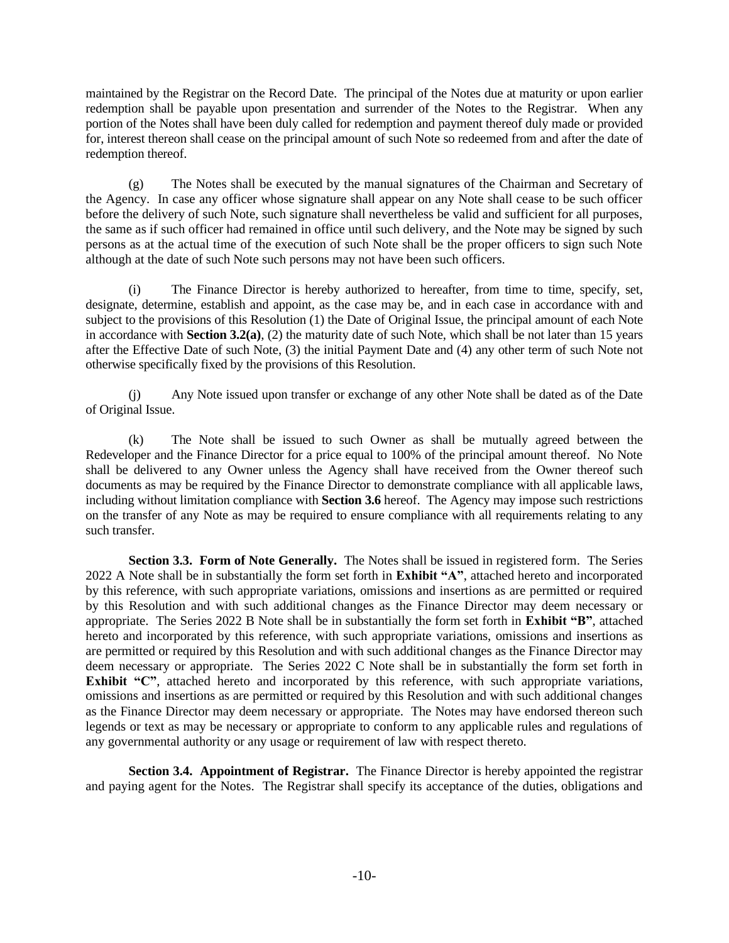maintained by the Registrar on the Record Date. The principal of the Notes due at maturity or upon earlier redemption shall be payable upon presentation and surrender of the Notes to the Registrar. When any portion of the Notes shall have been duly called for redemption and payment thereof duly made or provided for, interest thereon shall cease on the principal amount of such Note so redeemed from and after the date of redemption thereof.

(g) The Notes shall be executed by the manual signatures of the Chairman and Secretary of the Agency. In case any officer whose signature shall appear on any Note shall cease to be such officer before the delivery of such Note, such signature shall nevertheless be valid and sufficient for all purposes, the same as if such officer had remained in office until such delivery, and the Note may be signed by such persons as at the actual time of the execution of such Note shall be the proper officers to sign such Note although at the date of such Note such persons may not have been such officers.

(i) The Finance Director is hereby authorized to hereafter, from time to time, specify, set, designate, determine, establish and appoint, as the case may be, and in each case in accordance with and subject to the provisions of this Resolution (1) the Date of Original Issue, the principal amount of each Note in accordance with **Section 3.2(a)**, (2) the maturity date of such Note, which shall be not later than 15 years after the Effective Date of such Note, (3) the initial Payment Date and (4) any other term of such Note not otherwise specifically fixed by the provisions of this Resolution.

(j) Any Note issued upon transfer or exchange of any other Note shall be dated as of the Date of Original Issue.

(k) The Note shall be issued to such Owner as shall be mutually agreed between the Redeveloper and the Finance Director for a price equal to 100% of the principal amount thereof. No Note shall be delivered to any Owner unless the Agency shall have received from the Owner thereof such documents as may be required by the Finance Director to demonstrate compliance with all applicable laws, including without limitation compliance with **Section 3.6** hereof. The Agency may impose such restrictions on the transfer of any Note as may be required to ensure compliance with all requirements relating to any such transfer.

**Section 3.3. Form of Note Generally.** The Notes shall be issued in registered form. The Series 2022 A Note shall be in substantially the form set forth in **Exhibit "A"**, attached hereto and incorporated by this reference, with such appropriate variations, omissions and insertions as are permitted or required by this Resolution and with such additional changes as the Finance Director may deem necessary or appropriate. The Series 2022 B Note shall be in substantially the form set forth in **Exhibit "B"**, attached hereto and incorporated by this reference, with such appropriate variations, omissions and insertions as are permitted or required by this Resolution and with such additional changes as the Finance Director may deem necessary or appropriate. The Series 2022 C Note shall be in substantially the form set forth in **Exhibit "C"**, attached hereto and incorporated by this reference, with such appropriate variations, omissions and insertions as are permitted or required by this Resolution and with such additional changes as the Finance Director may deem necessary or appropriate. The Notes may have endorsed thereon such legends or text as may be necessary or appropriate to conform to any applicable rules and regulations of any governmental authority or any usage or requirement of law with respect thereto.

**Section 3.4. Appointment of Registrar.** The Finance Director is hereby appointed the registrar and paying agent for the Notes. The Registrar shall specify its acceptance of the duties, obligations and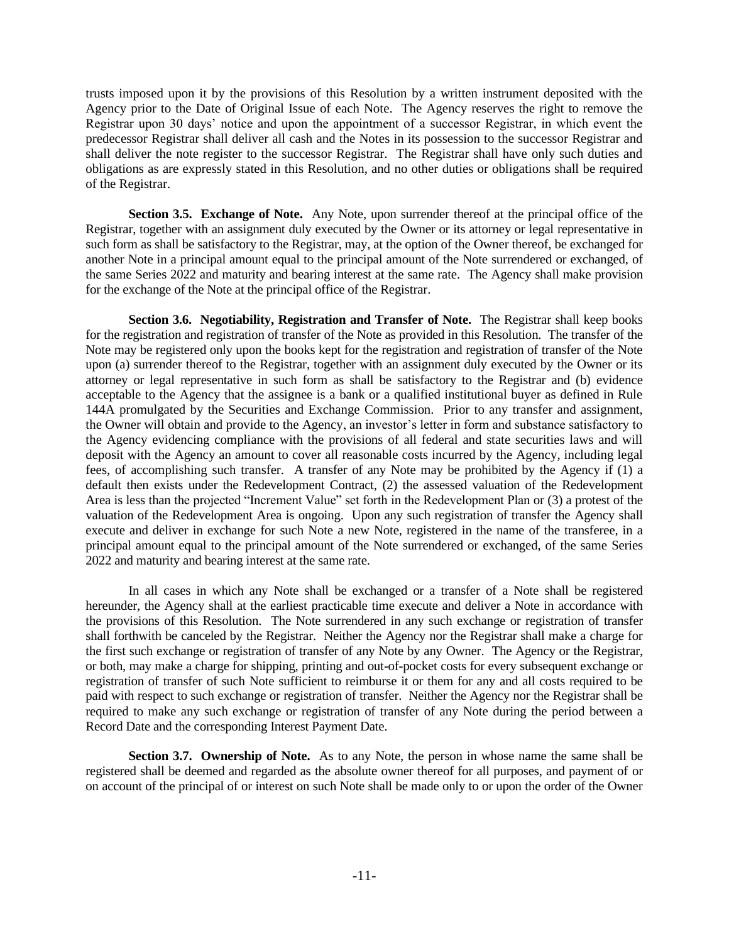trusts imposed upon it by the provisions of this Resolution by a written instrument deposited with the Agency prior to the Date of Original Issue of each Note. The Agency reserves the right to remove the Registrar upon 30 days' notice and upon the appointment of a successor Registrar, in which event the predecessor Registrar shall deliver all cash and the Notes in its possession to the successor Registrar and shall deliver the note register to the successor Registrar. The Registrar shall have only such duties and obligations as are expressly stated in this Resolution, and no other duties or obligations shall be required of the Registrar.

**Section 3.5. Exchange of Note.** Any Note, upon surrender thereof at the principal office of the Registrar, together with an assignment duly executed by the Owner or its attorney or legal representative in such form as shall be satisfactory to the Registrar, may, at the option of the Owner thereof, be exchanged for another Note in a principal amount equal to the principal amount of the Note surrendered or exchanged, of the same Series 2022 and maturity and bearing interest at the same rate. The Agency shall make provision for the exchange of the Note at the principal office of the Registrar.

**Section 3.6. Negotiability, Registration and Transfer of Note.** The Registrar shall keep books for the registration and registration of transfer of the Note as provided in this Resolution. The transfer of the Note may be registered only upon the books kept for the registration and registration of transfer of the Note upon (a) surrender thereof to the Registrar, together with an assignment duly executed by the Owner or its attorney or legal representative in such form as shall be satisfactory to the Registrar and (b) evidence acceptable to the Agency that the assignee is a bank or a qualified institutional buyer as defined in Rule 144A promulgated by the Securities and Exchange Commission. Prior to any transfer and assignment, the Owner will obtain and provide to the Agency, an investor's letter in form and substance satisfactory to the Agency evidencing compliance with the provisions of all federal and state securities laws and will deposit with the Agency an amount to cover all reasonable costs incurred by the Agency, including legal fees, of accomplishing such transfer. A transfer of any Note may be prohibited by the Agency if (1) a default then exists under the Redevelopment Contract, (2) the assessed valuation of the Redevelopment Area is less than the projected "Increment Value" set forth in the Redevelopment Plan or (3) a protest of the valuation of the Redevelopment Area is ongoing. Upon any such registration of transfer the Agency shall execute and deliver in exchange for such Note a new Note, registered in the name of the transferee, in a principal amount equal to the principal amount of the Note surrendered or exchanged, of the same Series 2022 and maturity and bearing interest at the same rate.

In all cases in which any Note shall be exchanged or a transfer of a Note shall be registered hereunder, the Agency shall at the earliest practicable time execute and deliver a Note in accordance with the provisions of this Resolution. The Note surrendered in any such exchange or registration of transfer shall forthwith be canceled by the Registrar. Neither the Agency nor the Registrar shall make a charge for the first such exchange or registration of transfer of any Note by any Owner. The Agency or the Registrar, or both, may make a charge for shipping, printing and out-of-pocket costs for every subsequent exchange or registration of transfer of such Note sufficient to reimburse it or them for any and all costs required to be paid with respect to such exchange or registration of transfer. Neither the Agency nor the Registrar shall be required to make any such exchange or registration of transfer of any Note during the period between a Record Date and the corresponding Interest Payment Date.

**Section 3.7. Ownership of Note.** As to any Note, the person in whose name the same shall be registered shall be deemed and regarded as the absolute owner thereof for all purposes, and payment of or on account of the principal of or interest on such Note shall be made only to or upon the order of the Owner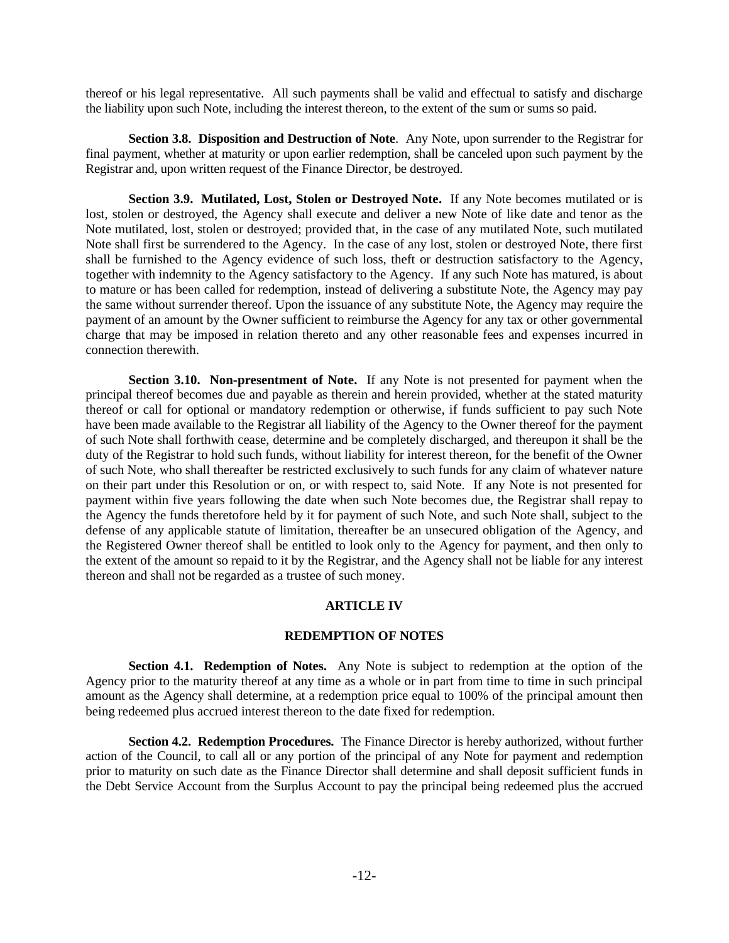thereof or his legal representative. All such payments shall be valid and effectual to satisfy and discharge the liability upon such Note, including the interest thereon, to the extent of the sum or sums so paid.

**Section 3.8. Disposition and Destruction of Note**. Any Note, upon surrender to the Registrar for final payment, whether at maturity or upon earlier redemption, shall be canceled upon such payment by the Registrar and, upon written request of the Finance Director, be destroyed.

**Section 3.9. Mutilated, Lost, Stolen or Destroyed Note.** If any Note becomes mutilated or is lost, stolen or destroyed, the Agency shall execute and deliver a new Note of like date and tenor as the Note mutilated, lost, stolen or destroyed; provided that, in the case of any mutilated Note, such mutilated Note shall first be surrendered to the Agency. In the case of any lost, stolen or destroyed Note, there first shall be furnished to the Agency evidence of such loss, theft or destruction satisfactory to the Agency, together with indemnity to the Agency satisfactory to the Agency. If any such Note has matured, is about to mature or has been called for redemption, instead of delivering a substitute Note, the Agency may pay the same without surrender thereof. Upon the issuance of any substitute Note, the Agency may require the payment of an amount by the Owner sufficient to reimburse the Agency for any tax or other governmental charge that may be imposed in relation thereto and any other reasonable fees and expenses incurred in connection therewith.

**Section 3.10. Non-presentment of Note.** If any Note is not presented for payment when the principal thereof becomes due and payable as therein and herein provided, whether at the stated maturity thereof or call for optional or mandatory redemption or otherwise, if funds sufficient to pay such Note have been made available to the Registrar all liability of the Agency to the Owner thereof for the payment of such Note shall forthwith cease, determine and be completely discharged, and thereupon it shall be the duty of the Registrar to hold such funds, without liability for interest thereon, for the benefit of the Owner of such Note, who shall thereafter be restricted exclusively to such funds for any claim of whatever nature on their part under this Resolution or on, or with respect to, said Note. If any Note is not presented for payment within five years following the date when such Note becomes due, the Registrar shall repay to the Agency the funds theretofore held by it for payment of such Note, and such Note shall, subject to the defense of any applicable statute of limitation, thereafter be an unsecured obligation of the Agency, and the Registered Owner thereof shall be entitled to look only to the Agency for payment, and then only to the extent of the amount so repaid to it by the Registrar, and the Agency shall not be liable for any interest thereon and shall not be regarded as a trustee of such money.

## **ARTICLE IV**

### **REDEMPTION OF NOTES**

**Section 4.1. Redemption of Notes.** Any Note is subject to redemption at the option of the Agency prior to the maturity thereof at any time as a whole or in part from time to time in such principal amount as the Agency shall determine, at a redemption price equal to 100% of the principal amount then being redeemed plus accrued interest thereon to the date fixed for redemption.

**Section 4.2. Redemption Procedures.** The Finance Director is hereby authorized, without further action of the Council, to call all or any portion of the principal of any Note for payment and redemption prior to maturity on such date as the Finance Director shall determine and shall deposit sufficient funds in the Debt Service Account from the Surplus Account to pay the principal being redeemed plus the accrued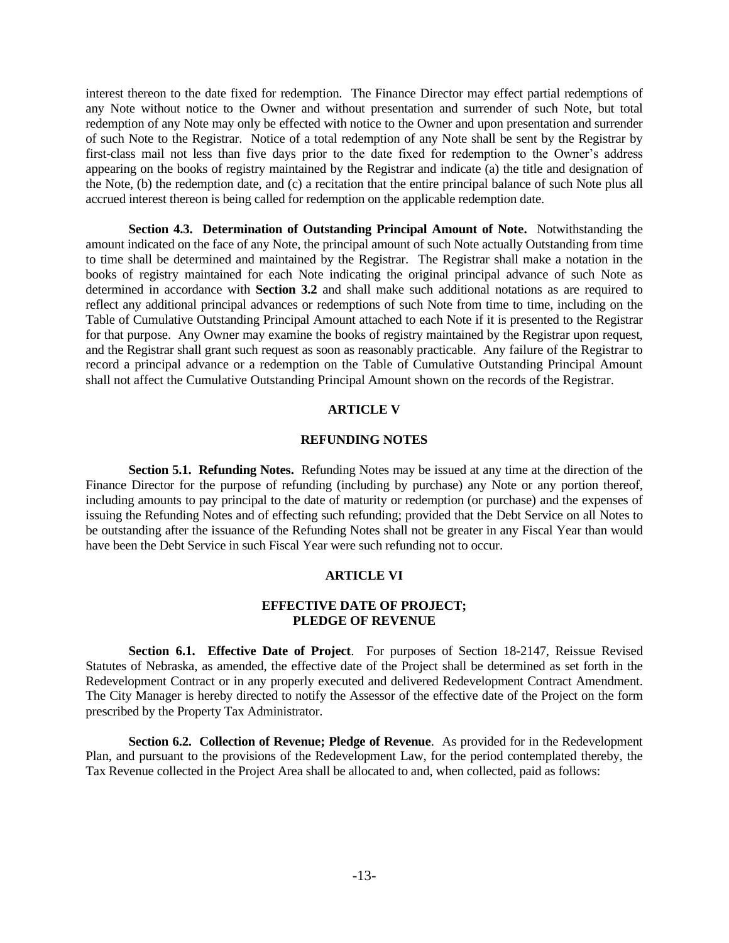interest thereon to the date fixed for redemption. The Finance Director may effect partial redemptions of any Note without notice to the Owner and without presentation and surrender of such Note, but total redemption of any Note may only be effected with notice to the Owner and upon presentation and surrender of such Note to the Registrar. Notice of a total redemption of any Note shall be sent by the Registrar by first-class mail not less than five days prior to the date fixed for redemption to the Owner's address appearing on the books of registry maintained by the Registrar and indicate (a) the title and designation of the Note, (b) the redemption date, and (c) a recitation that the entire principal balance of such Note plus all accrued interest thereon is being called for redemption on the applicable redemption date.

**Section 4.3. Determination of Outstanding Principal Amount of Note.** Notwithstanding the amount indicated on the face of any Note, the principal amount of such Note actually Outstanding from time to time shall be determined and maintained by the Registrar. The Registrar shall make a notation in the books of registry maintained for each Note indicating the original principal advance of such Note as determined in accordance with **Section 3.2** and shall make such additional notations as are required to reflect any additional principal advances or redemptions of such Note from time to time, including on the Table of Cumulative Outstanding Principal Amount attached to each Note if it is presented to the Registrar for that purpose. Any Owner may examine the books of registry maintained by the Registrar upon request, and the Registrar shall grant such request as soon as reasonably practicable. Any failure of the Registrar to record a principal advance or a redemption on the Table of Cumulative Outstanding Principal Amount shall not affect the Cumulative Outstanding Principal Amount shown on the records of the Registrar.

#### **ARTICLE V**

#### **REFUNDING NOTES**

**Section 5.1. Refunding Notes.** Refunding Notes may be issued at any time at the direction of the Finance Director for the purpose of refunding (including by purchase) any Note or any portion thereof, including amounts to pay principal to the date of maturity or redemption (or purchase) and the expenses of issuing the Refunding Notes and of effecting such refunding; provided that the Debt Service on all Notes to be outstanding after the issuance of the Refunding Notes shall not be greater in any Fiscal Year than would have been the Debt Service in such Fiscal Year were such refunding not to occur.

#### **ARTICLE VI**

#### **EFFECTIVE DATE OF PROJECT; PLEDGE OF REVENUE**

**Section 6.1. Effective Date of Project**. For purposes of Section 18-2147, Reissue Revised Statutes of Nebraska, as amended, the effective date of the Project shall be determined as set forth in the Redevelopment Contract or in any properly executed and delivered Redevelopment Contract Amendment. The City Manager is hereby directed to notify the Assessor of the effective date of the Project on the form prescribed by the Property Tax Administrator.

**Section 6.2. Collection of Revenue; Pledge of Revenue**. As provided for in the Redevelopment Plan, and pursuant to the provisions of the Redevelopment Law, for the period contemplated thereby, the Tax Revenue collected in the Project Area shall be allocated to and, when collected, paid as follows: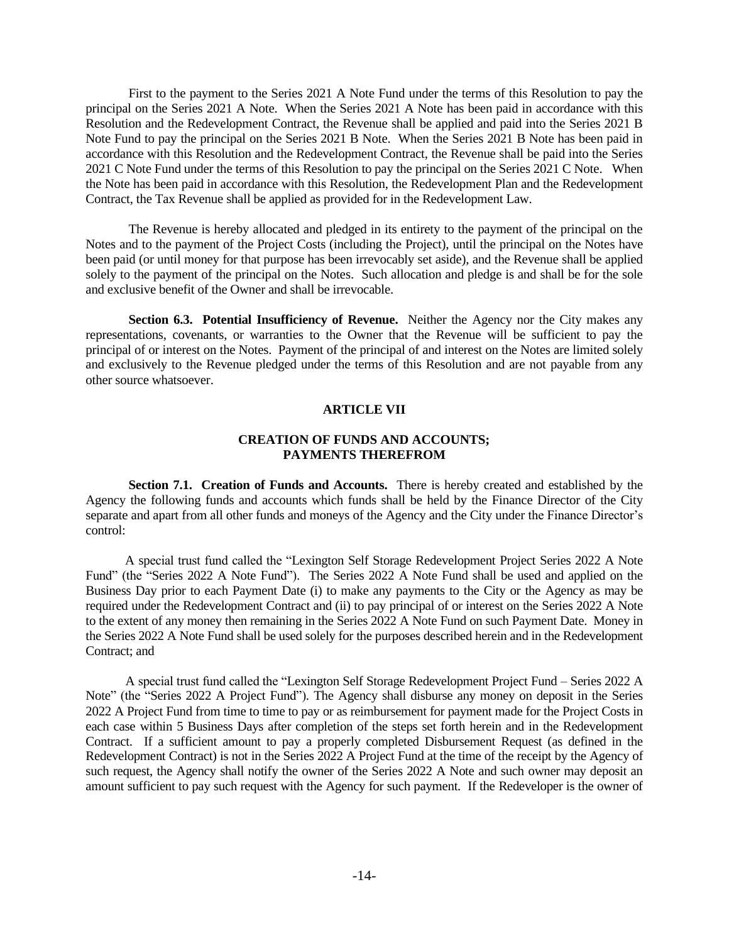First to the payment to the Series 2021 A Note Fund under the terms of this Resolution to pay the principal on the Series 2021 A Note. When the Series 2021 A Note has been paid in accordance with this Resolution and the Redevelopment Contract, the Revenue shall be applied and paid into the Series 2021 B Note Fund to pay the principal on the Series 2021 B Note. When the Series 2021 B Note has been paid in accordance with this Resolution and the Redevelopment Contract, the Revenue shall be paid into the Series 2021 C Note Fund under the terms of this Resolution to pay the principal on the Series 2021 C Note. When the Note has been paid in accordance with this Resolution, the Redevelopment Plan and the Redevelopment Contract, the Tax Revenue shall be applied as provided for in the Redevelopment Law.

The Revenue is hereby allocated and pledged in its entirety to the payment of the principal on the Notes and to the payment of the Project Costs (including the Project), until the principal on the Notes have been paid (or until money for that purpose has been irrevocably set aside), and the Revenue shall be applied solely to the payment of the principal on the Notes. Such allocation and pledge is and shall be for the sole and exclusive benefit of the Owner and shall be irrevocable.

**Section 6.3. Potential Insufficiency of Revenue.** Neither the Agency nor the City makes any representations, covenants, or warranties to the Owner that the Revenue will be sufficient to pay the principal of or interest on the Notes. Payment of the principal of and interest on the Notes are limited solely and exclusively to the Revenue pledged under the terms of this Resolution and are not payable from any other source whatsoever.

## **ARTICLE VII**

### **CREATION OF FUNDS AND ACCOUNTS; PAYMENTS THEREFROM**

**Section 7.1. Creation of Funds and Accounts.** There is hereby created and established by the Agency the following funds and accounts which funds shall be held by the Finance Director of the City separate and apart from all other funds and moneys of the Agency and the City under the Finance Director's control:

A special trust fund called the "Lexington Self Storage Redevelopment Project Series 2022 A Note Fund" (the "Series 2022 A Note Fund"). The Series 2022 A Note Fund shall be used and applied on the Business Day prior to each Payment Date (i) to make any payments to the City or the Agency as may be required under the Redevelopment Contract and (ii) to pay principal of or interest on the Series 2022 A Note to the extent of any money then remaining in the Series 2022 A Note Fund on such Payment Date. Money in the Series 2022 A Note Fund shall be used solely for the purposes described herein and in the Redevelopment Contract; and

A special trust fund called the "Lexington Self Storage Redevelopment Project Fund – Series 2022 A Note" (the "Series 2022 A Project Fund"). The Agency shall disburse any money on deposit in the Series 2022 A Project Fund from time to time to pay or as reimbursement for payment made for the Project Costs in each case within 5 Business Days after completion of the steps set forth herein and in the Redevelopment Contract. If a sufficient amount to pay a properly completed Disbursement Request (as defined in the Redevelopment Contract) is not in the Series 2022 A Project Fund at the time of the receipt by the Agency of such request, the Agency shall notify the owner of the Series 2022 A Note and such owner may deposit an amount sufficient to pay such request with the Agency for such payment. If the Redeveloper is the owner of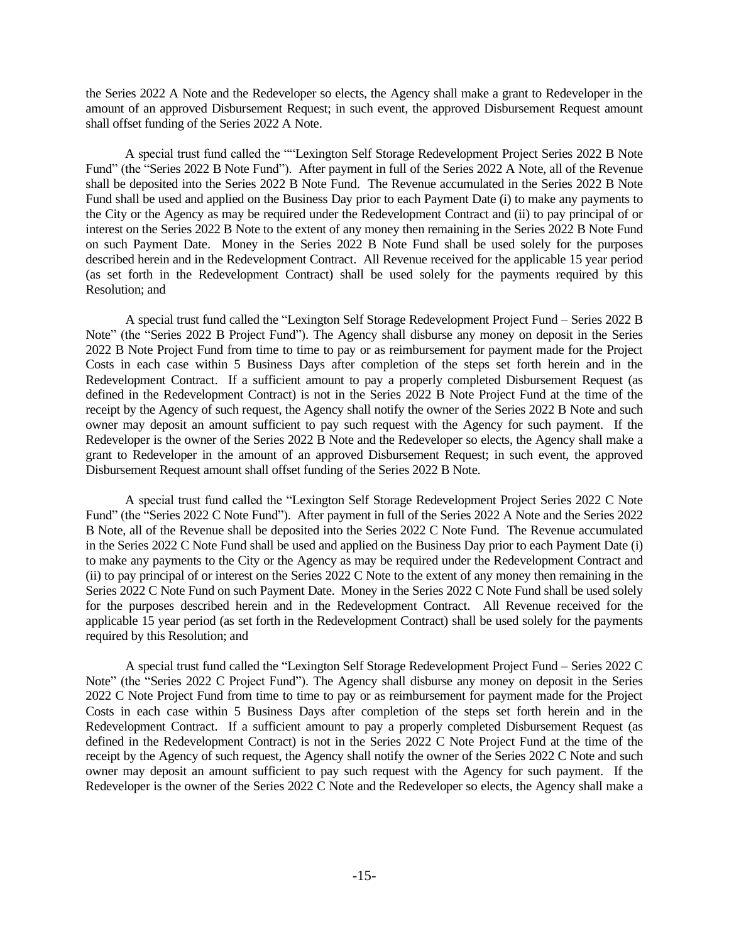the Series 2022 A Note and the Redeveloper so elects, the Agency shall make a grant to Redeveloper in the amount of an approved Disbursement Request; in such event, the approved Disbursement Request amount shall offset funding of the Series 2022 A Note.

A special trust fund called the ""Lexington Self Storage Redevelopment Project Series 2022 B Note Fund" (the "Series 2022 B Note Fund"). After payment in full of the Series 2022 A Note, all of the Revenue shall be deposited into the Series 2022 B Note Fund. The Revenue accumulated in the Series 2022 B Note Fund shall be used and applied on the Business Day prior to each Payment Date (i) to make any payments to the City or the Agency as may be required under the Redevelopment Contract and (ii) to pay principal of or interest on the Series 2022 B Note to the extent of any money then remaining in the Series 2022 B Note Fund on such Payment Date. Money in the Series 2022 B Note Fund shall be used solely for the purposes described herein and in the Redevelopment Contract. All Revenue received for the applicable 15 year period (as set forth in the Redevelopment Contract) shall be used solely for the payments required by this Resolution; and

A special trust fund called the "Lexington Self Storage Redevelopment Project Fund – Series 2022 B Note" (the "Series 2022 B Project Fund"). The Agency shall disburse any money on deposit in the Series 2022 B Note Project Fund from time to time to pay or as reimbursement for payment made for the Project Costs in each case within 5 Business Days after completion of the steps set forth herein and in the Redevelopment Contract. If a sufficient amount to pay a properly completed Disbursement Request (as defined in the Redevelopment Contract) is not in the Series 2022 B Note Project Fund at the time of the receipt by the Agency of such request, the Agency shall notify the owner of the Series 2022 B Note and such owner may deposit an amount sufficient to pay such request with the Agency for such payment. If the Redeveloper is the owner of the Series 2022 B Note and the Redeveloper so elects, the Agency shall make a grant to Redeveloper in the amount of an approved Disbursement Request; in such event, the approved Disbursement Request amount shall offset funding of the Series 2022 B Note.

A special trust fund called the "Lexington Self Storage Redevelopment Project Series 2022 C Note Fund" (the "Series 2022 C Note Fund"). After payment in full of the Series 2022 A Note and the Series 2022 B Note, all of the Revenue shall be deposited into the Series 2022 C Note Fund. The Revenue accumulated in the Series 2022 C Note Fund shall be used and applied on the Business Day prior to each Payment Date (i) to make any payments to the City or the Agency as may be required under the Redevelopment Contract and (ii) to pay principal of or interest on the Series 2022 C Note to the extent of any money then remaining in the Series 2022 C Note Fund on such Payment Date. Money in the Series 2022 C Note Fund shall be used solely for the purposes described herein and in the Redevelopment Contract. All Revenue received for the applicable 15 year period (as set forth in the Redevelopment Contract) shall be used solely for the payments required by this Resolution; and

A special trust fund called the "Lexington Self Storage Redevelopment Project Fund – Series 2022 C Note" (the "Series 2022 C Project Fund"). The Agency shall disburse any money on deposit in the Series 2022 C Note Project Fund from time to time to pay or as reimbursement for payment made for the Project Costs in each case within 5 Business Days after completion of the steps set forth herein and in the Redevelopment Contract. If a sufficient amount to pay a properly completed Disbursement Request (as defined in the Redevelopment Contract) is not in the Series 2022 C Note Project Fund at the time of the receipt by the Agency of such request, the Agency shall notify the owner of the Series 2022 C Note and such owner may deposit an amount sufficient to pay such request with the Agency for such payment. If the Redeveloper is the owner of the Series 2022 C Note and the Redeveloper so elects, the Agency shall make a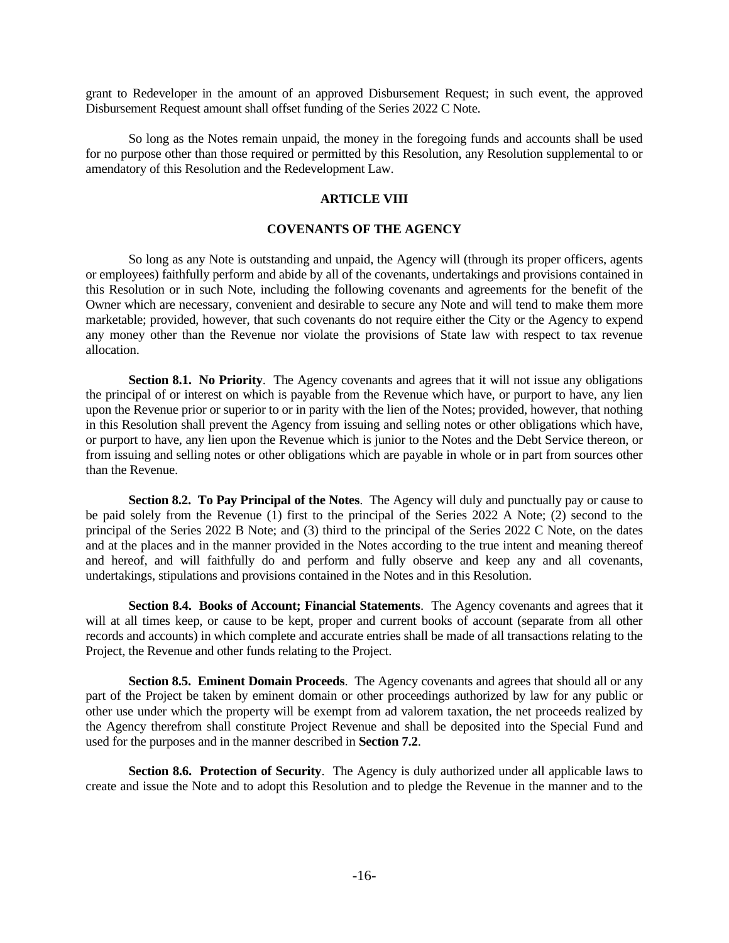grant to Redeveloper in the amount of an approved Disbursement Request; in such event, the approved Disbursement Request amount shall offset funding of the Series 2022 C Note.

So long as the Notes remain unpaid, the money in the foregoing funds and accounts shall be used for no purpose other than those required or permitted by this Resolution, any Resolution supplemental to or amendatory of this Resolution and the Redevelopment Law.

#### **ARTICLE VIII**

## **COVENANTS OF THE AGENCY**

So long as any Note is outstanding and unpaid, the Agency will (through its proper officers, agents or employees) faithfully perform and abide by all of the covenants, undertakings and provisions contained in this Resolution or in such Note, including the following covenants and agreements for the benefit of the Owner which are necessary, convenient and desirable to secure any Note and will tend to make them more marketable; provided, however, that such covenants do not require either the City or the Agency to expend any money other than the Revenue nor violate the provisions of State law with respect to tax revenue allocation.

**Section 8.1. No Priority.** The Agency covenants and agrees that it will not issue any obligations the principal of or interest on which is payable from the Revenue which have, or purport to have, any lien upon the Revenue prior or superior to or in parity with the lien of the Notes; provided, however, that nothing in this Resolution shall prevent the Agency from issuing and selling notes or other obligations which have, or purport to have, any lien upon the Revenue which is junior to the Notes and the Debt Service thereon, or from issuing and selling notes or other obligations which are payable in whole or in part from sources other than the Revenue.

**Section 8.2. To Pay Principal of the Notes**. The Agency will duly and punctually pay or cause to be paid solely from the Revenue (1) first to the principal of the Series 2022 A Note; (2) second to the principal of the Series 2022 B Note; and (3) third to the principal of the Series 2022 C Note, on the dates and at the places and in the manner provided in the Notes according to the true intent and meaning thereof and hereof, and will faithfully do and perform and fully observe and keep any and all covenants, undertakings, stipulations and provisions contained in the Notes and in this Resolution.

**Section 8.4. Books of Account; Financial Statements**. The Agency covenants and agrees that it will at all times keep, or cause to be kept, proper and current books of account (separate from all other records and accounts) in which complete and accurate entries shall be made of all transactions relating to the Project, the Revenue and other funds relating to the Project.

**Section 8.5. Eminent Domain Proceeds**. The Agency covenants and agrees that should all or any part of the Project be taken by eminent domain or other proceedings authorized by law for any public or other use under which the property will be exempt from ad valorem taxation, the net proceeds realized by the Agency therefrom shall constitute Project Revenue and shall be deposited into the Special Fund and used for the purposes and in the manner described in **Section 7.2**.

**Section 8.6. Protection of Security**. The Agency is duly authorized under all applicable laws to create and issue the Note and to adopt this Resolution and to pledge the Revenue in the manner and to the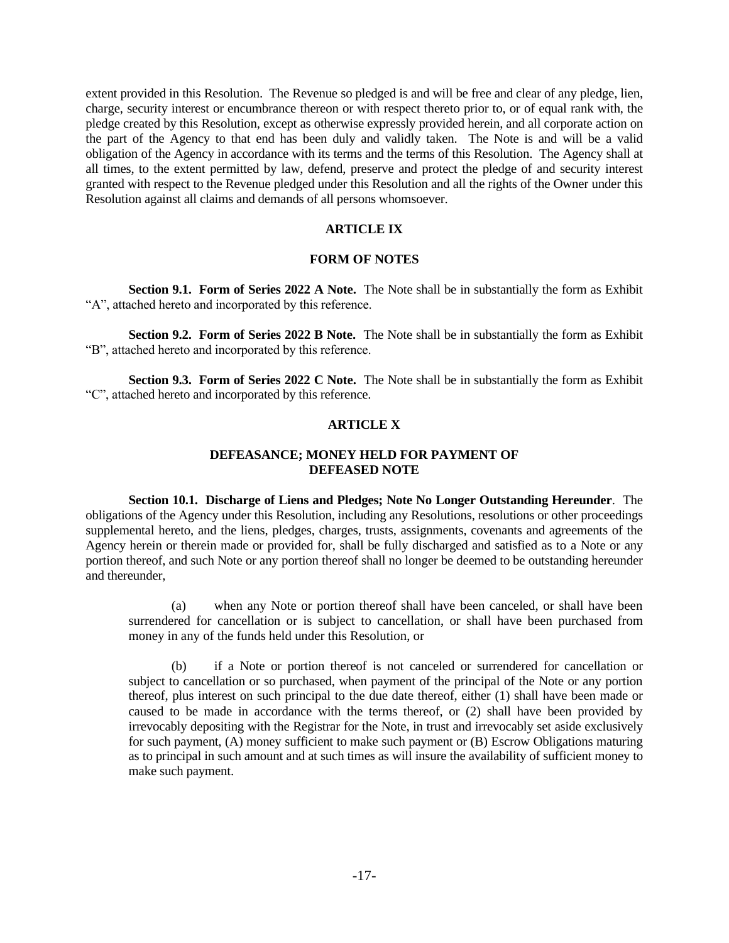extent provided in this Resolution. The Revenue so pledged is and will be free and clear of any pledge, lien, charge, security interest or encumbrance thereon or with respect thereto prior to, or of equal rank with, the pledge created by this Resolution, except as otherwise expressly provided herein, and all corporate action on the part of the Agency to that end has been duly and validly taken. The Note is and will be a valid obligation of the Agency in accordance with its terms and the terms of this Resolution. The Agency shall at all times, to the extent permitted by law, defend, preserve and protect the pledge of and security interest granted with respect to the Revenue pledged under this Resolution and all the rights of the Owner under this Resolution against all claims and demands of all persons whomsoever.

## **ARTICLE IX**

#### **FORM OF NOTES**

**Section 9.1. Form of Series 2022 A Note.** The Note shall be in substantially the form as Exhibit "A", attached hereto and incorporated by this reference.

**Section 9.2. Form of Series 2022 B Note.** The Note shall be in substantially the form as Exhibit "B", attached hereto and incorporated by this reference.

**Section 9.3. Form of Series 2022 C Note.** The Note shall be in substantially the form as Exhibit "C", attached hereto and incorporated by this reference.

# **ARTICLE X**

## **DEFEASANCE; MONEY HELD FOR PAYMENT OF DEFEASED NOTE**

**Section 10.1. Discharge of Liens and Pledges; Note No Longer Outstanding Hereunder**. The obligations of the Agency under this Resolution, including any Resolutions, resolutions or other proceedings supplemental hereto, and the liens, pledges, charges, trusts, assignments, covenants and agreements of the Agency herein or therein made or provided for, shall be fully discharged and satisfied as to a Note or any portion thereof, and such Note or any portion thereof shall no longer be deemed to be outstanding hereunder and thereunder,

(a) when any Note or portion thereof shall have been canceled, or shall have been surrendered for cancellation or is subject to cancellation, or shall have been purchased from money in any of the funds held under this Resolution, or

(b) if a Note or portion thereof is not canceled or surrendered for cancellation or subject to cancellation or so purchased, when payment of the principal of the Note or any portion thereof, plus interest on such principal to the due date thereof, either (1) shall have been made or caused to be made in accordance with the terms thereof, or (2) shall have been provided by irrevocably depositing with the Registrar for the Note, in trust and irrevocably set aside exclusively for such payment, (A) money sufficient to make such payment or (B) Escrow Obligations maturing as to principal in such amount and at such times as will insure the availability of sufficient money to make such payment.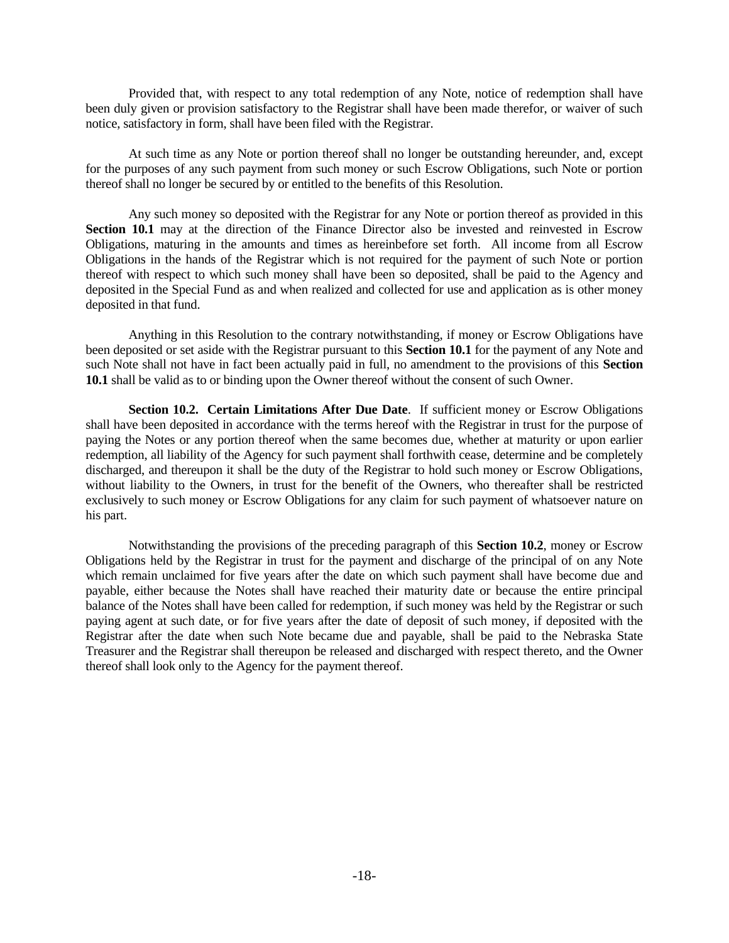Provided that, with respect to any total redemption of any Note, notice of redemption shall have been duly given or provision satisfactory to the Registrar shall have been made therefor, or waiver of such notice, satisfactory in form, shall have been filed with the Registrar.

At such time as any Note or portion thereof shall no longer be outstanding hereunder, and, except for the purposes of any such payment from such money or such Escrow Obligations, such Note or portion thereof shall no longer be secured by or entitled to the benefits of this Resolution.

Any such money so deposited with the Registrar for any Note or portion thereof as provided in this **Section 10.1** may at the direction of the Finance Director also be invested and reinvested in Escrow Obligations, maturing in the amounts and times as hereinbefore set forth. All income from all Escrow Obligations in the hands of the Registrar which is not required for the payment of such Note or portion thereof with respect to which such money shall have been so deposited, shall be paid to the Agency and deposited in the Special Fund as and when realized and collected for use and application as is other money deposited in that fund.

Anything in this Resolution to the contrary notwithstanding, if money or Escrow Obligations have been deposited or set aside with the Registrar pursuant to this **Section 10.1** for the payment of any Note and such Note shall not have in fact been actually paid in full, no amendment to the provisions of this **Section 10.1** shall be valid as to or binding upon the Owner thereof without the consent of such Owner.

**Section 10.2. Certain Limitations After Due Date**. If sufficient money or Escrow Obligations shall have been deposited in accordance with the terms hereof with the Registrar in trust for the purpose of paying the Notes or any portion thereof when the same becomes due, whether at maturity or upon earlier redemption, all liability of the Agency for such payment shall forthwith cease, determine and be completely discharged, and thereupon it shall be the duty of the Registrar to hold such money or Escrow Obligations, without liability to the Owners, in trust for the benefit of the Owners, who thereafter shall be restricted exclusively to such money or Escrow Obligations for any claim for such payment of whatsoever nature on his part.

Notwithstanding the provisions of the preceding paragraph of this **Section 10.2**, money or Escrow Obligations held by the Registrar in trust for the payment and discharge of the principal of on any Note which remain unclaimed for five years after the date on which such payment shall have become due and payable, either because the Notes shall have reached their maturity date or because the entire principal balance of the Notes shall have been called for redemption, if such money was held by the Registrar or such paying agent at such date, or for five years after the date of deposit of such money, if deposited with the Registrar after the date when such Note became due and payable, shall be paid to the Nebraska State Treasurer and the Registrar shall thereupon be released and discharged with respect thereto, and the Owner thereof shall look only to the Agency for the payment thereof.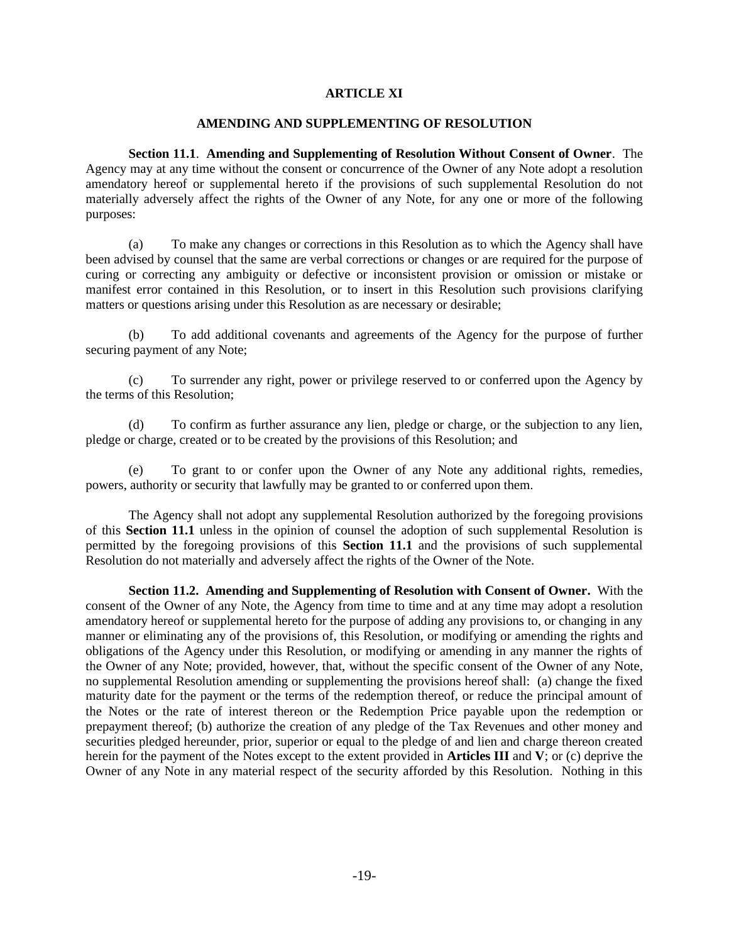## **ARTICLE XI**

#### **AMENDING AND SUPPLEMENTING OF RESOLUTION**

**Section 11.1**. **Amending and Supplementing of Resolution Without Consent of Owner**. The Agency may at any time without the consent or concurrence of the Owner of any Note adopt a resolution amendatory hereof or supplemental hereto if the provisions of such supplemental Resolution do not materially adversely affect the rights of the Owner of any Note, for any one or more of the following purposes:

(a) To make any changes or corrections in this Resolution as to which the Agency shall have been advised by counsel that the same are verbal corrections or changes or are required for the purpose of curing or correcting any ambiguity or defective or inconsistent provision or omission or mistake or manifest error contained in this Resolution, or to insert in this Resolution such provisions clarifying matters or questions arising under this Resolution as are necessary or desirable;

(b) To add additional covenants and agreements of the Agency for the purpose of further securing payment of any Note;

(c) To surrender any right, power or privilege reserved to or conferred upon the Agency by the terms of this Resolution;

(d) To confirm as further assurance any lien, pledge or charge, or the subjection to any lien, pledge or charge, created or to be created by the provisions of this Resolution; and

(e) To grant to or confer upon the Owner of any Note any additional rights, remedies, powers, authority or security that lawfully may be granted to or conferred upon them.

The Agency shall not adopt any supplemental Resolution authorized by the foregoing provisions of this **Section 11.1** unless in the opinion of counsel the adoption of such supplemental Resolution is permitted by the foregoing provisions of this **Section 11.1** and the provisions of such supplemental Resolution do not materially and adversely affect the rights of the Owner of the Note.

**Section 11.2. Amending and Supplementing of Resolution with Consent of Owner.** With the consent of the Owner of any Note, the Agency from time to time and at any time may adopt a resolution amendatory hereof or supplemental hereto for the purpose of adding any provisions to, or changing in any manner or eliminating any of the provisions of, this Resolution, or modifying or amending the rights and obligations of the Agency under this Resolution, or modifying or amending in any manner the rights of the Owner of any Note; provided, however, that, without the specific consent of the Owner of any Note, no supplemental Resolution amending or supplementing the provisions hereof shall: (a) change the fixed maturity date for the payment or the terms of the redemption thereof, or reduce the principal amount of the Notes or the rate of interest thereon or the Redemption Price payable upon the redemption or prepayment thereof; (b) authorize the creation of any pledge of the Tax Revenues and other money and securities pledged hereunder, prior, superior or equal to the pledge of and lien and charge thereon created herein for the payment of the Notes except to the extent provided in **Articles III** and **V**; or (c) deprive the Owner of any Note in any material respect of the security afforded by this Resolution. Nothing in this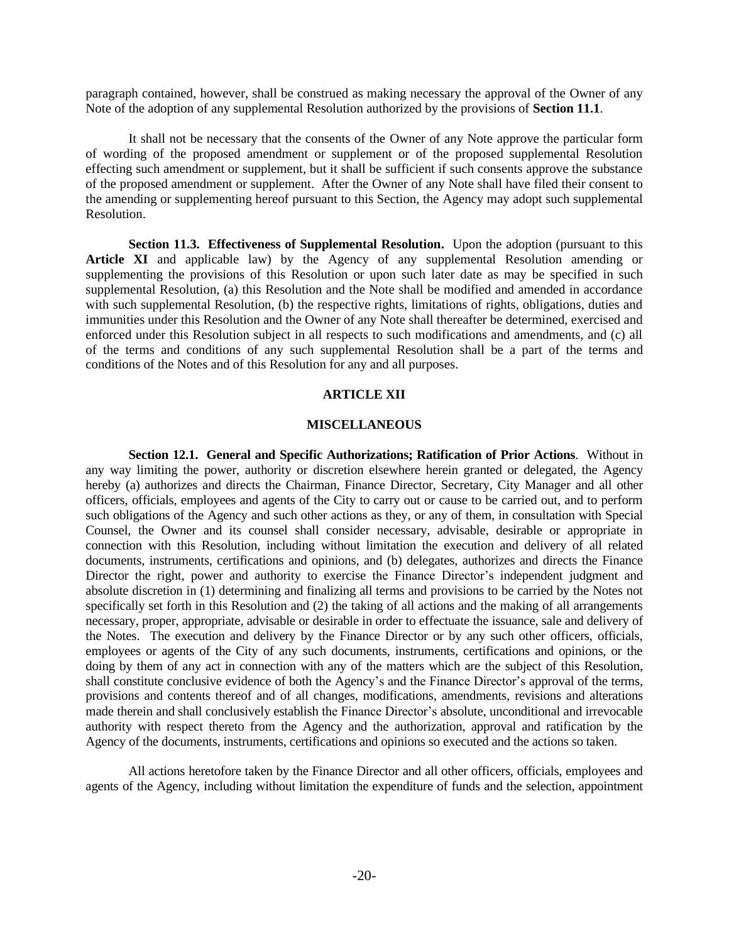paragraph contained, however, shall be construed as making necessary the approval of the Owner of any Note of the adoption of any supplemental Resolution authorized by the provisions of **Section 11.1**.

It shall not be necessary that the consents of the Owner of any Note approve the particular form of wording of the proposed amendment or supplement or of the proposed supplemental Resolution effecting such amendment or supplement, but it shall be sufficient if such consents approve the substance of the proposed amendment or supplement. After the Owner of any Note shall have filed their consent to the amending or supplementing hereof pursuant to this Section, the Agency may adopt such supplemental Resolution.

**Section 11.3. Effectiveness of Supplemental Resolution.** Upon the adoption (pursuant to this **Article XI** and applicable law) by the Agency of any supplemental Resolution amending or supplementing the provisions of this Resolution or upon such later date as may be specified in such supplemental Resolution, (a) this Resolution and the Note shall be modified and amended in accordance with such supplemental Resolution, (b) the respective rights, limitations of rights, obligations, duties and immunities under this Resolution and the Owner of any Note shall thereafter be determined, exercised and enforced under this Resolution subject in all respects to such modifications and amendments, and (c) all of the terms and conditions of any such supplemental Resolution shall be a part of the terms and conditions of the Notes and of this Resolution for any and all purposes.

## **ARTICLE XII**

## **MISCELLANEOUS**

**Section 12.1. General and Specific Authorizations; Ratification of Prior Actions**. Without in any way limiting the power, authority or discretion elsewhere herein granted or delegated, the Agency hereby (a) authorizes and directs the Chairman, Finance Director, Secretary, City Manager and all other officers, officials, employees and agents of the City to carry out or cause to be carried out, and to perform such obligations of the Agency and such other actions as they, or any of them, in consultation with Special Counsel, the Owner and its counsel shall consider necessary, advisable, desirable or appropriate in connection with this Resolution, including without limitation the execution and delivery of all related documents, instruments, certifications and opinions, and (b) delegates, authorizes and directs the Finance Director the right, power and authority to exercise the Finance Director's independent judgment and absolute discretion in (1) determining and finalizing all terms and provisions to be carried by the Notes not specifically set forth in this Resolution and (2) the taking of all actions and the making of all arrangements necessary, proper, appropriate, advisable or desirable in order to effectuate the issuance, sale and delivery of the Notes. The execution and delivery by the Finance Director or by any such other officers, officials, employees or agents of the City of any such documents, instruments, certifications and opinions, or the doing by them of any act in connection with any of the matters which are the subject of this Resolution, shall constitute conclusive evidence of both the Agency's and the Finance Director's approval of the terms, provisions and contents thereof and of all changes, modifications, amendments, revisions and alterations made therein and shall conclusively establish the Finance Director's absolute, unconditional and irrevocable authority with respect thereto from the Agency and the authorization, approval and ratification by the Agency of the documents, instruments, certifications and opinions so executed and the actions so taken.

All actions heretofore taken by the Finance Director and all other officers, officials, employees and agents of the Agency, including without limitation the expenditure of funds and the selection, appointment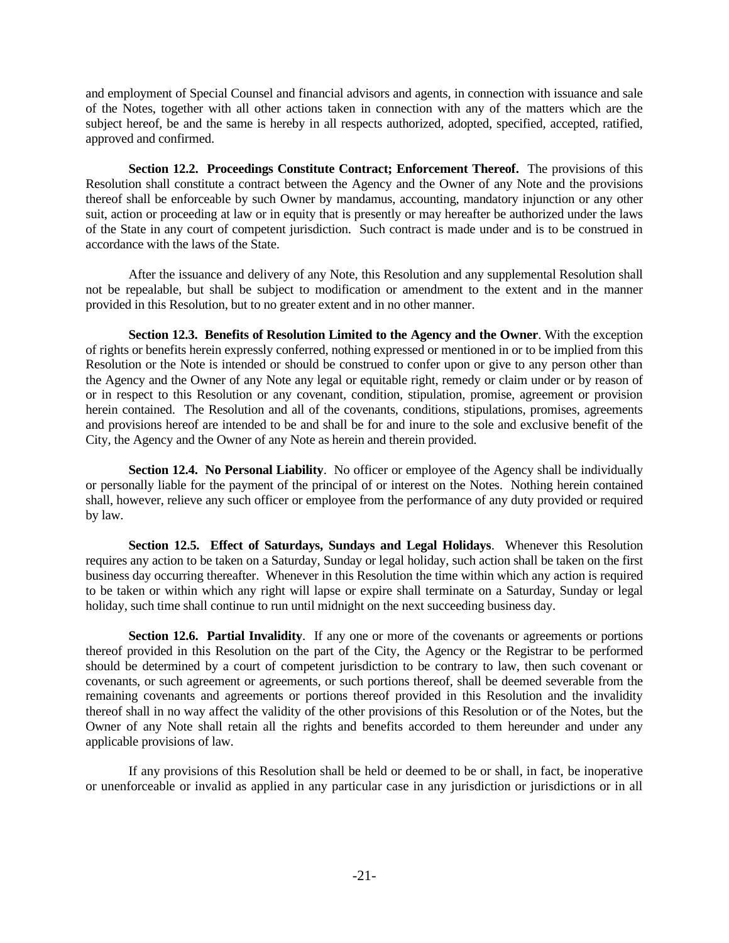and employment of Special Counsel and financial advisors and agents, in connection with issuance and sale of the Notes, together with all other actions taken in connection with any of the matters which are the subject hereof, be and the same is hereby in all respects authorized, adopted, specified, accepted, ratified, approved and confirmed.

**Section 12.2. Proceedings Constitute Contract; Enforcement Thereof.** The provisions of this Resolution shall constitute a contract between the Agency and the Owner of any Note and the provisions thereof shall be enforceable by such Owner by mandamus, accounting, mandatory injunction or any other suit, action or proceeding at law or in equity that is presently or may hereafter be authorized under the laws of the State in any court of competent jurisdiction. Such contract is made under and is to be construed in accordance with the laws of the State.

After the issuance and delivery of any Note, this Resolution and any supplemental Resolution shall not be repealable, but shall be subject to modification or amendment to the extent and in the manner provided in this Resolution, but to no greater extent and in no other manner.

**Section 12.3. Benefits of Resolution Limited to the Agency and the Owner**. With the exception of rights or benefits herein expressly conferred, nothing expressed or mentioned in or to be implied from this Resolution or the Note is intended or should be construed to confer upon or give to any person other than the Agency and the Owner of any Note any legal or equitable right, remedy or claim under or by reason of or in respect to this Resolution or any covenant, condition, stipulation, promise, agreement or provision herein contained. The Resolution and all of the covenants, conditions, stipulations, promises, agreements and provisions hereof are intended to be and shall be for and inure to the sole and exclusive benefit of the City, the Agency and the Owner of any Note as herein and therein provided.

**Section 12.4. No Personal Liability**. No officer or employee of the Agency shall be individually or personally liable for the payment of the principal of or interest on the Notes. Nothing herein contained shall, however, relieve any such officer or employee from the performance of any duty provided or required by law.

**Section 12.5. Effect of Saturdays, Sundays and Legal Holidays**. Whenever this Resolution requires any action to be taken on a Saturday, Sunday or legal holiday, such action shall be taken on the first business day occurring thereafter. Whenever in this Resolution the time within which any action is required to be taken or within which any right will lapse or expire shall terminate on a Saturday, Sunday or legal holiday, such time shall continue to run until midnight on the next succeeding business day.

**Section 12.6. Partial Invalidity**. If any one or more of the covenants or agreements or portions thereof provided in this Resolution on the part of the City, the Agency or the Registrar to be performed should be determined by a court of competent jurisdiction to be contrary to law, then such covenant or covenants, or such agreement or agreements, or such portions thereof, shall be deemed severable from the remaining covenants and agreements or portions thereof provided in this Resolution and the invalidity thereof shall in no way affect the validity of the other provisions of this Resolution or of the Notes, but the Owner of any Note shall retain all the rights and benefits accorded to them hereunder and under any applicable provisions of law.

If any provisions of this Resolution shall be held or deemed to be or shall, in fact, be inoperative or unenforceable or invalid as applied in any particular case in any jurisdiction or jurisdictions or in all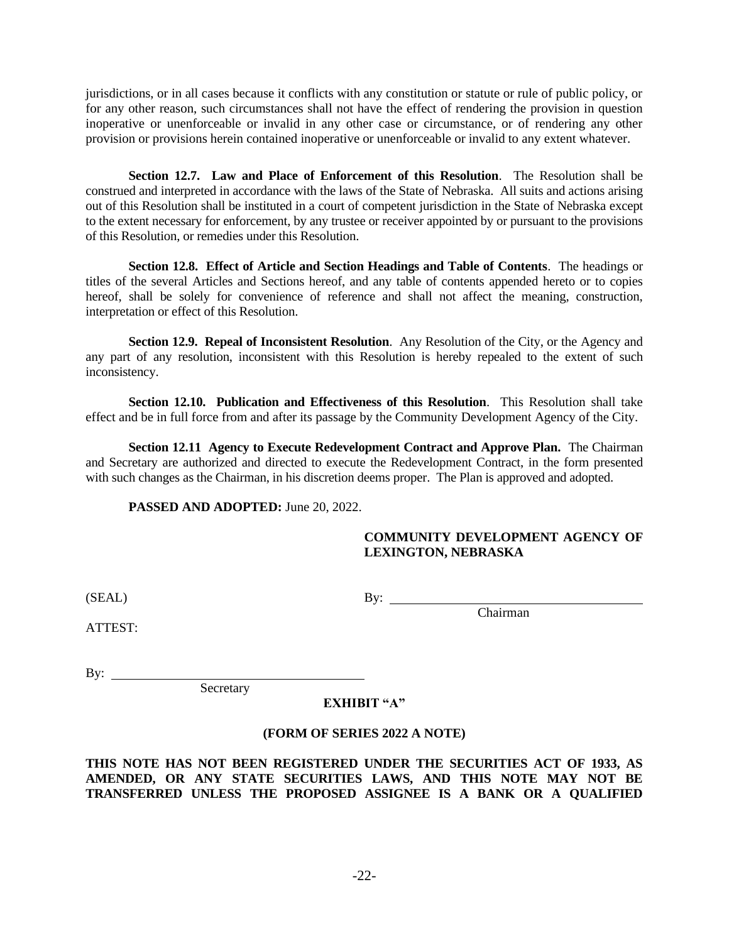jurisdictions, or in all cases because it conflicts with any constitution or statute or rule of public policy, or for any other reason, such circumstances shall not have the effect of rendering the provision in question inoperative or unenforceable or invalid in any other case or circumstance, or of rendering any other provision or provisions herein contained inoperative or unenforceable or invalid to any extent whatever.

**Section 12.7. Law and Place of Enforcement of this Resolution**. The Resolution shall be construed and interpreted in accordance with the laws of the State of Nebraska. All suits and actions arising out of this Resolution shall be instituted in a court of competent jurisdiction in the State of Nebraska except to the extent necessary for enforcement, by any trustee or receiver appointed by or pursuant to the provisions of this Resolution, or remedies under this Resolution.

**Section 12.8. Effect of Article and Section Headings and Table of Contents**. The headings or titles of the several Articles and Sections hereof, and any table of contents appended hereto or to copies hereof, shall be solely for convenience of reference and shall not affect the meaning, construction, interpretation or effect of this Resolution.

**Section 12.9. Repeal of Inconsistent Resolution**. Any Resolution of the City, or the Agency and any part of any resolution, inconsistent with this Resolution is hereby repealed to the extent of such inconsistency.

**Section 12.10. Publication and Effectiveness of this Resolution**. This Resolution shall take effect and be in full force from and after its passage by the Community Development Agency of the City.

**Section 12.11 Agency to Execute Redevelopment Contract and Approve Plan.** The Chairman and Secretary are authorized and directed to execute the Redevelopment Contract, in the form presented with such changes as the Chairman, in his discretion deems proper. The Plan is approved and adopted.

**PASSED AND ADOPTED:** June 20, 2022.

Secretary

# **COMMUNITY DEVELOPMENT AGENCY OF LEXINGTON, NEBRASKA**

 $(BEAL)$  By:

Chairman

ATTEST:

By:  $\qquad \qquad$ 

**EXHIBIT "A"**

## **(FORM OF SERIES 2022 A NOTE)**

**THIS NOTE HAS NOT BEEN REGISTERED UNDER THE SECURITIES ACT OF 1933, AS AMENDED, OR ANY STATE SECURITIES LAWS, AND THIS NOTE MAY NOT BE TRANSFERRED UNLESS THE PROPOSED ASSIGNEE IS A BANK OR A QUALIFIED**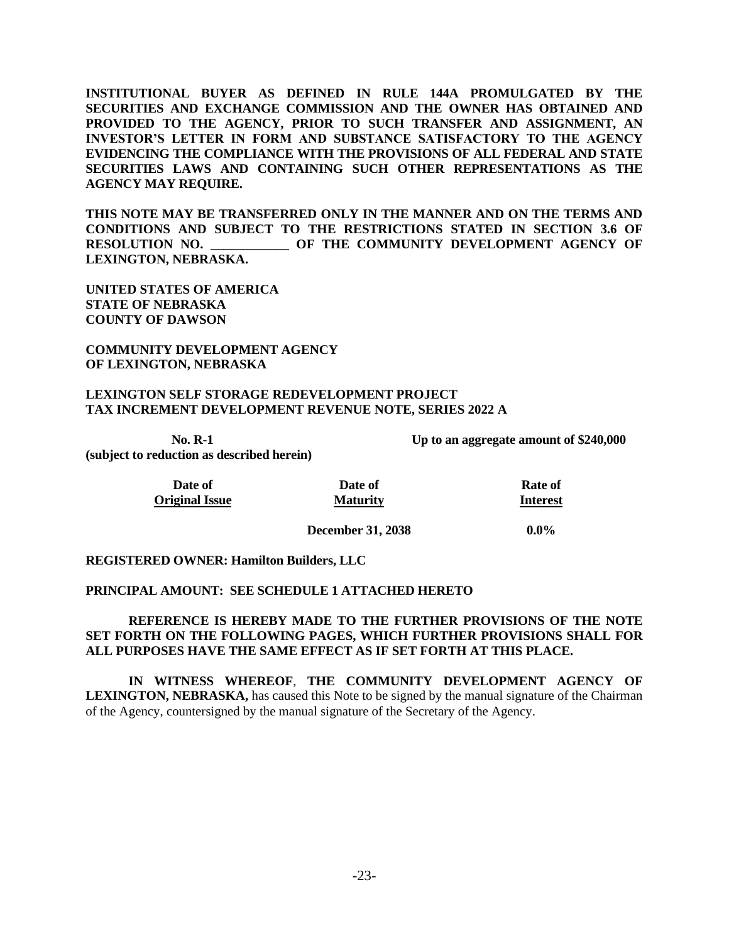**INSTITUTIONAL BUYER AS DEFINED IN RULE 144A PROMULGATED BY THE SECURITIES AND EXCHANGE COMMISSION AND THE OWNER HAS OBTAINED AND PROVIDED TO THE AGENCY, PRIOR TO SUCH TRANSFER AND ASSIGNMENT, AN INVESTOR'S LETTER IN FORM AND SUBSTANCE SATISFACTORY TO THE AGENCY EVIDENCING THE COMPLIANCE WITH THE PROVISIONS OF ALL FEDERAL AND STATE SECURITIES LAWS AND CONTAINING SUCH OTHER REPRESENTATIONS AS THE AGENCY MAY REQUIRE.** 

**THIS NOTE MAY BE TRANSFERRED ONLY IN THE MANNER AND ON THE TERMS AND CONDITIONS AND SUBJECT TO THE RESTRICTIONS STATED IN SECTION 3.6 OF RESOLUTION NO. \_\_\_\_\_\_\_\_\_\_\_\_ OF THE COMMUNITY DEVELOPMENT AGENCY OF LEXINGTON, NEBRASKA.**

**UNITED STATES OF AMERICA STATE OF NEBRASKA COUNTY OF DAWSON**

**COMMUNITY DEVELOPMENT AGENCY OF LEXINGTON, NEBRASKA**

#### **LEXINGTON SELF STORAGE REDEVELOPMENT PROJECT TAX INCREMENT DEVELOPMENT REVENUE NOTE, SERIES 2022 A**

**(subject to reduction as described herein)**

**No. R-1 Up to an aggregate amount of \$240,000**

| Date of               | Date of         | Rate of         |
|-----------------------|-----------------|-----------------|
| <b>Original Issue</b> | <b>Maturity</b> | <b>Interest</b> |

**December 31, 2038 0.0%**

#### **REGISTERED OWNER: Hamilton Builders, LLC**

## **PRINCIPAL AMOUNT: SEE SCHEDULE 1 ATTACHED HERETO**

## **REFERENCE IS HEREBY MADE TO THE FURTHER PROVISIONS OF THE NOTE SET FORTH ON THE FOLLOWING PAGES, WHICH FURTHER PROVISIONS SHALL FOR ALL PURPOSES HAVE THE SAME EFFECT AS IF SET FORTH AT THIS PLACE.**

**IN WITNESS WHEREOF**, **THE COMMUNITY DEVELOPMENT AGENCY OF LEXINGTON, NEBRASKA,** has caused this Note to be signed by the manual signature of the Chairman of the Agency, countersigned by the manual signature of the Secretary of the Agency.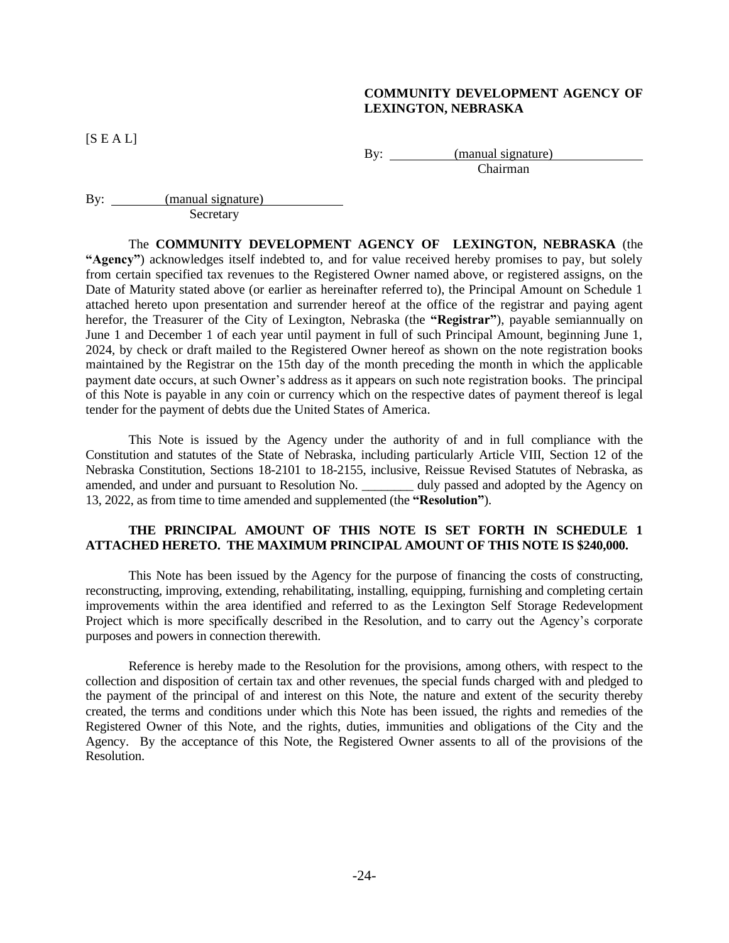### **COMMUNITY DEVELOPMENT AGENCY OF LEXINGTON, NEBRASKA**

 $[S E A L]$ 

By: <u>(manual signature)</u> Chairman

By: <u>(manual signature)</u> Secretary

The **COMMUNITY DEVELOPMENT AGENCY OF LEXINGTON, NEBRASKA** (the **"Agency"**) acknowledges itself indebted to, and for value received hereby promises to pay, but solely from certain specified tax revenues to the Registered Owner named above, or registered assigns, on the Date of Maturity stated above (or earlier as hereinafter referred to), the Principal Amount on Schedule 1 attached hereto upon presentation and surrender hereof at the office of the registrar and paying agent herefor, the Treasurer of the City of Lexington, Nebraska (the **"Registrar"**), payable semiannually on June 1 and December 1 of each year until payment in full of such Principal Amount, beginning June 1, 2024, by check or draft mailed to the Registered Owner hereof as shown on the note registration books maintained by the Registrar on the 15th day of the month preceding the month in which the applicable payment date occurs, at such Owner's address as it appears on such note registration books. The principal of this Note is payable in any coin or currency which on the respective dates of payment thereof is legal tender for the payment of debts due the United States of America.

This Note is issued by the Agency under the authority of and in full compliance with the Constitution and statutes of the State of Nebraska, including particularly Article VIII, Section 12 of the Nebraska Constitution, Sections 18-2101 to 18-2155, inclusive, Reissue Revised Statutes of Nebraska, as amended, and under and pursuant to Resolution No. \_\_\_\_\_\_\_\_ duly passed and adopted by the Agency on 13, 2022, as from time to time amended and supplemented (the **"Resolution"**).

## **THE PRINCIPAL AMOUNT OF THIS NOTE IS SET FORTH IN SCHEDULE 1 ATTACHED HERETO. THE MAXIMUM PRINCIPAL AMOUNT OF THIS NOTE IS \$240,000.**

This Note has been issued by the Agency for the purpose of financing the costs of constructing, reconstructing, improving, extending, rehabilitating, installing, equipping, furnishing and completing certain improvements within the area identified and referred to as the Lexington Self Storage Redevelopment Project which is more specifically described in the Resolution, and to carry out the Agency's corporate purposes and powers in connection therewith.

Reference is hereby made to the Resolution for the provisions, among others, with respect to the collection and disposition of certain tax and other revenues, the special funds charged with and pledged to the payment of the principal of and interest on this Note, the nature and extent of the security thereby created, the terms and conditions under which this Note has been issued, the rights and remedies of the Registered Owner of this Note, and the rights, duties, immunities and obligations of the City and the Agency. By the acceptance of this Note, the Registered Owner assents to all of the provisions of the Resolution.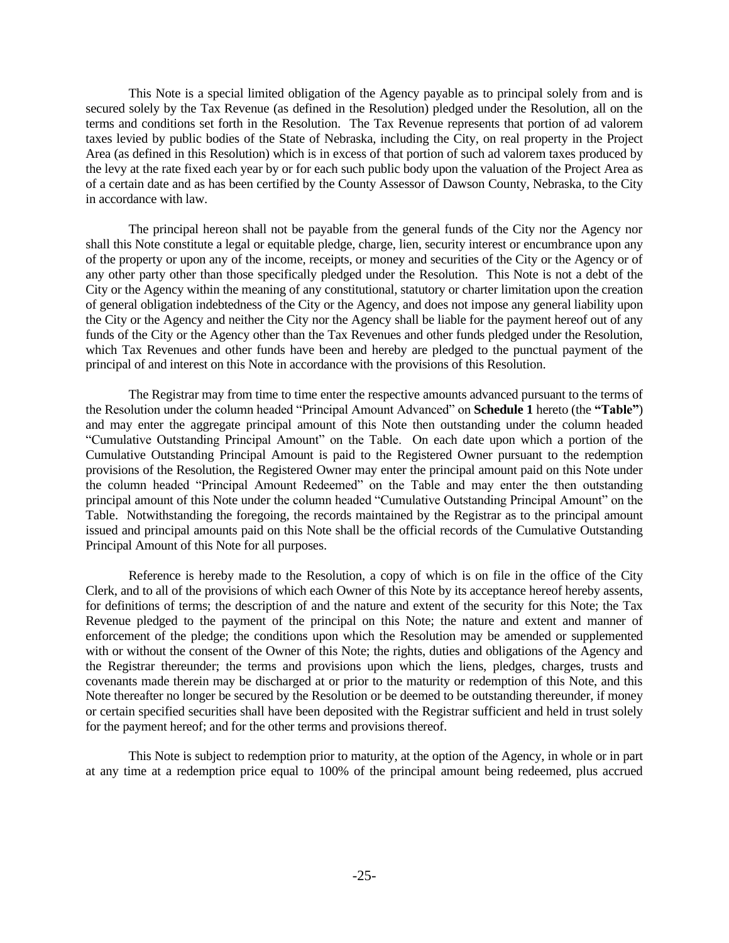This Note is a special limited obligation of the Agency payable as to principal solely from and is secured solely by the Tax Revenue (as defined in the Resolution) pledged under the Resolution, all on the terms and conditions set forth in the Resolution. The Tax Revenue represents that portion of ad valorem taxes levied by public bodies of the State of Nebraska, including the City, on real property in the Project Area (as defined in this Resolution) which is in excess of that portion of such ad valorem taxes produced by the levy at the rate fixed each year by or for each such public body upon the valuation of the Project Area as of a certain date and as has been certified by the County Assessor of Dawson County, Nebraska, to the City in accordance with law.

The principal hereon shall not be payable from the general funds of the City nor the Agency nor shall this Note constitute a legal or equitable pledge, charge, lien, security interest or encumbrance upon any of the property or upon any of the income, receipts, or money and securities of the City or the Agency or of any other party other than those specifically pledged under the Resolution. This Note is not a debt of the City or the Agency within the meaning of any constitutional, statutory or charter limitation upon the creation of general obligation indebtedness of the City or the Agency, and does not impose any general liability upon the City or the Agency and neither the City nor the Agency shall be liable for the payment hereof out of any funds of the City or the Agency other than the Tax Revenues and other funds pledged under the Resolution, which Tax Revenues and other funds have been and hereby are pledged to the punctual payment of the principal of and interest on this Note in accordance with the provisions of this Resolution.

The Registrar may from time to time enter the respective amounts advanced pursuant to the terms of the Resolution under the column headed "Principal Amount Advanced" on **Schedule 1** hereto (the **"Table"**) and may enter the aggregate principal amount of this Note then outstanding under the column headed "Cumulative Outstanding Principal Amount" on the Table. On each date upon which a portion of the Cumulative Outstanding Principal Amount is paid to the Registered Owner pursuant to the redemption provisions of the Resolution, the Registered Owner may enter the principal amount paid on this Note under the column headed "Principal Amount Redeemed" on the Table and may enter the then outstanding principal amount of this Note under the column headed "Cumulative Outstanding Principal Amount" on the Table. Notwithstanding the foregoing, the records maintained by the Registrar as to the principal amount issued and principal amounts paid on this Note shall be the official records of the Cumulative Outstanding Principal Amount of this Note for all purposes.

Reference is hereby made to the Resolution, a copy of which is on file in the office of the City Clerk, and to all of the provisions of which each Owner of this Note by its acceptance hereof hereby assents, for definitions of terms; the description of and the nature and extent of the security for this Note; the Tax Revenue pledged to the payment of the principal on this Note; the nature and extent and manner of enforcement of the pledge; the conditions upon which the Resolution may be amended or supplemented with or without the consent of the Owner of this Note; the rights, duties and obligations of the Agency and the Registrar thereunder; the terms and provisions upon which the liens, pledges, charges, trusts and covenants made therein may be discharged at or prior to the maturity or redemption of this Note, and this Note thereafter no longer be secured by the Resolution or be deemed to be outstanding thereunder, if money or certain specified securities shall have been deposited with the Registrar sufficient and held in trust solely for the payment hereof; and for the other terms and provisions thereof.

This Note is subject to redemption prior to maturity, at the option of the Agency, in whole or in part at any time at a redemption price equal to 100% of the principal amount being redeemed, plus accrued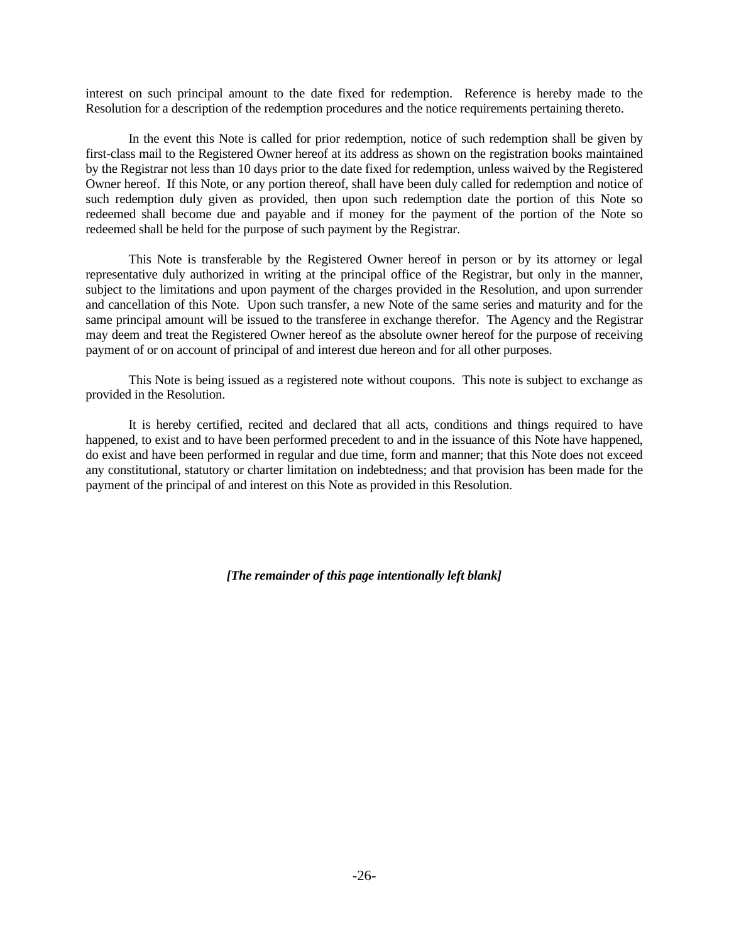interest on such principal amount to the date fixed for redemption. Reference is hereby made to the Resolution for a description of the redemption procedures and the notice requirements pertaining thereto.

In the event this Note is called for prior redemption, notice of such redemption shall be given by first-class mail to the Registered Owner hereof at its address as shown on the registration books maintained by the Registrar not less than 10 days prior to the date fixed for redemption, unless waived by the Registered Owner hereof. If this Note, or any portion thereof, shall have been duly called for redemption and notice of such redemption duly given as provided, then upon such redemption date the portion of this Note so redeemed shall become due and payable and if money for the payment of the portion of the Note so redeemed shall be held for the purpose of such payment by the Registrar.

This Note is transferable by the Registered Owner hereof in person or by its attorney or legal representative duly authorized in writing at the principal office of the Registrar, but only in the manner, subject to the limitations and upon payment of the charges provided in the Resolution, and upon surrender and cancellation of this Note. Upon such transfer, a new Note of the same series and maturity and for the same principal amount will be issued to the transferee in exchange therefor. The Agency and the Registrar may deem and treat the Registered Owner hereof as the absolute owner hereof for the purpose of receiving payment of or on account of principal of and interest due hereon and for all other purposes.

This Note is being issued as a registered note without coupons. This note is subject to exchange as provided in the Resolution.

It is hereby certified, recited and declared that all acts, conditions and things required to have happened, to exist and to have been performed precedent to and in the issuance of this Note have happened, do exist and have been performed in regular and due time, form and manner; that this Note does not exceed any constitutional, statutory or charter limitation on indebtedness; and that provision has been made for the payment of the principal of and interest on this Note as provided in this Resolution.

*[The remainder of this page intentionally left blank]*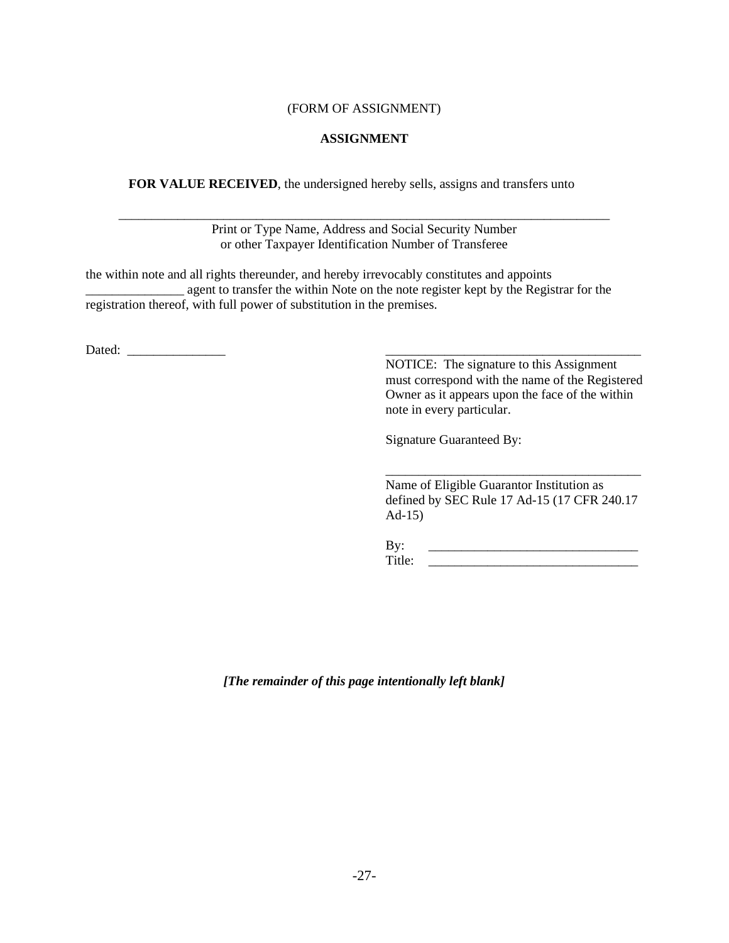## (FORM OF ASSIGNMENT)

## **ASSIGNMENT**

**FOR VALUE RECEIVED**, the undersigned hereby sells, assigns and transfers unto

\_\_\_\_\_\_\_\_\_\_\_\_\_\_\_\_\_\_\_\_\_\_\_\_\_\_\_\_\_\_\_\_\_\_\_\_\_\_\_\_\_\_\_\_\_\_\_\_\_\_\_\_\_\_\_\_\_\_\_\_\_\_\_\_\_\_\_\_\_\_\_\_\_\_\_ Print or Type Name, Address and Social Security Number or other Taxpayer Identification Number of Transferee

the within note and all rights thereunder, and hereby irrevocably constitutes and appoints \_\_\_\_\_\_\_\_\_\_\_\_\_\_\_ agent to transfer the within Note on the note register kept by the Registrar for the registration thereof, with full power of substitution in the premises.

Dated: \_\_\_\_\_\_\_\_\_\_\_\_\_\_\_ \_\_\_\_\_\_\_\_\_\_\_\_\_\_\_\_\_\_\_\_\_\_\_\_\_\_\_\_\_\_\_\_\_\_\_\_\_\_\_

NOTICE: The signature to this Assignment must correspond with the name of the Registered Owner as it appears upon the face of the within note in every particular.

Signature Guaranteed By:

Name of Eligible Guarantor Institution as defined by SEC Rule 17 Ad-15 (17 CFR 240.17 Ad-15)

\_\_\_\_\_\_\_\_\_\_\_\_\_\_\_\_\_\_\_\_\_\_\_\_\_\_\_\_\_\_\_\_\_\_\_\_\_\_\_

By: \_\_\_\_\_\_\_\_\_\_\_\_\_\_\_\_\_\_\_\_\_\_\_\_\_\_\_\_\_\_\_\_ Title: \_\_\_\_\_\_\_\_\_\_\_\_\_\_\_\_\_\_\_\_\_\_\_\_\_\_\_\_\_\_\_\_

*[The remainder of this page intentionally left blank]*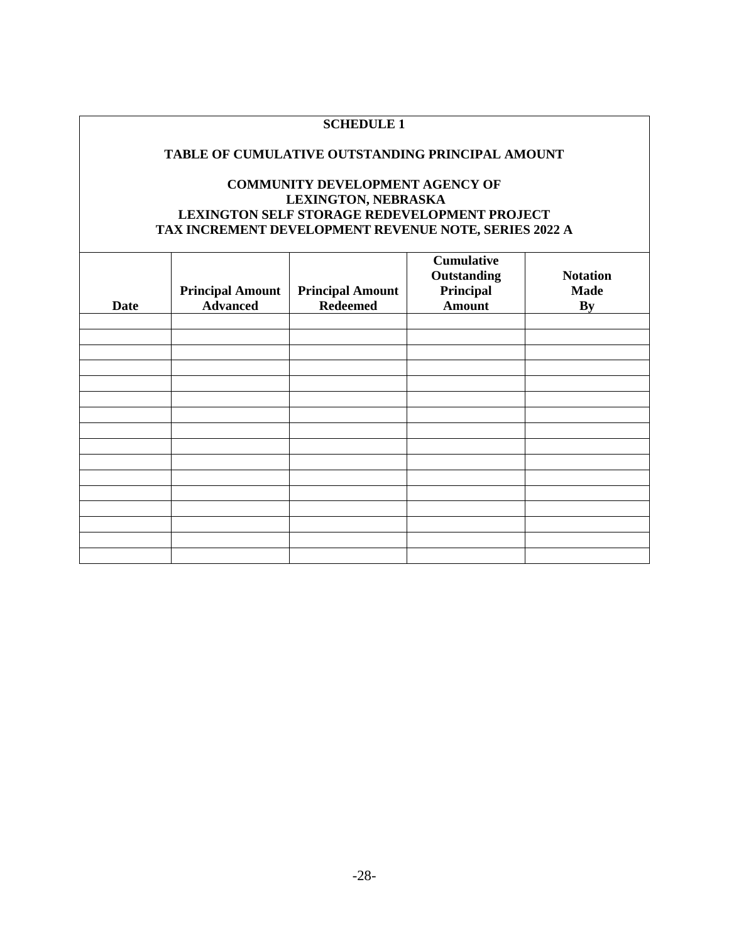# **SCHEDULE 1**

### **TABLE OF CUMULATIVE OUTSTANDING PRINCIPAL AMOUNT**

# **COMMUNITY DEVELOPMENT AGENCY OF LEXINGTON, NEBRASKA LEXINGTON SELF STORAGE REDEVELOPMENT PROJECT TAX INCREMENT DEVELOPMENT REVENUE NOTE, SERIES 2022 A**

| <b>Date</b> | <b>Principal Amount</b><br><b>Advanced</b> | <b>Principal Amount</b><br><b>Redeemed</b> | <b>Cumulative</b><br>Outstanding<br>Principal<br><b>Amount</b> | <b>Notation</b><br><b>Made</b><br>By |
|-------------|--------------------------------------------|--------------------------------------------|----------------------------------------------------------------|--------------------------------------|
|             |                                            |                                            |                                                                |                                      |
|             |                                            |                                            |                                                                |                                      |
|             |                                            |                                            |                                                                |                                      |
|             |                                            |                                            |                                                                |                                      |
|             |                                            |                                            |                                                                |                                      |
|             |                                            |                                            |                                                                |                                      |
|             |                                            |                                            |                                                                |                                      |
|             |                                            |                                            |                                                                |                                      |
|             |                                            |                                            |                                                                |                                      |
|             |                                            |                                            |                                                                |                                      |
|             |                                            |                                            |                                                                |                                      |
|             |                                            |                                            |                                                                |                                      |
|             |                                            |                                            |                                                                |                                      |
|             |                                            |                                            |                                                                |                                      |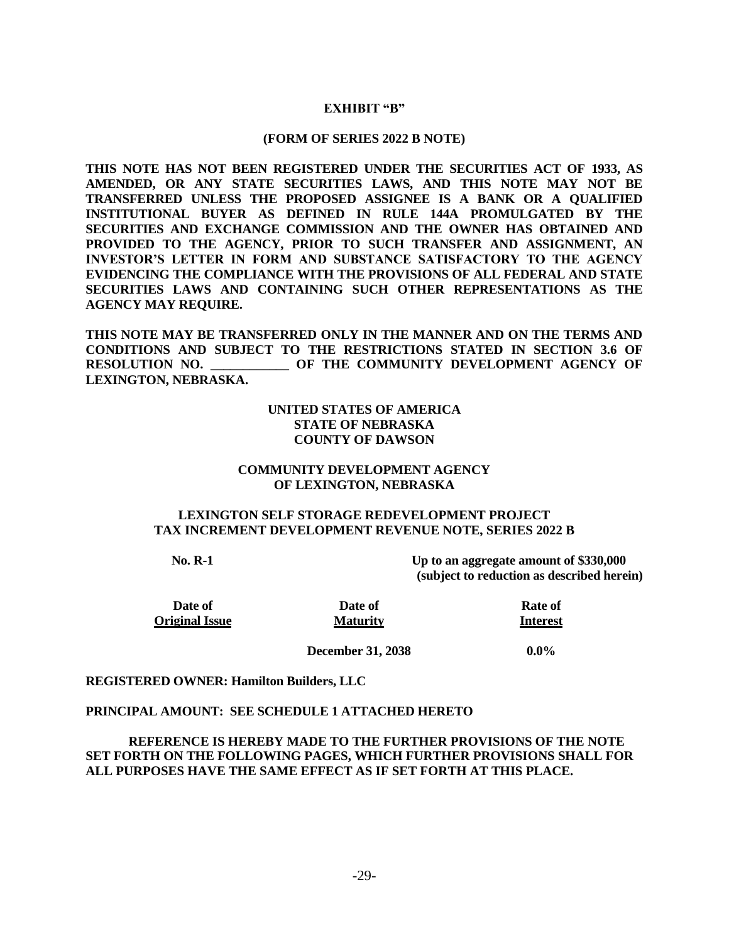## **EXHIBIT "B"**

#### **(FORM OF SERIES 2022 B NOTE)**

**THIS NOTE HAS NOT BEEN REGISTERED UNDER THE SECURITIES ACT OF 1933, AS AMENDED, OR ANY STATE SECURITIES LAWS, AND THIS NOTE MAY NOT BE TRANSFERRED UNLESS THE PROPOSED ASSIGNEE IS A BANK OR A QUALIFIED INSTITUTIONAL BUYER AS DEFINED IN RULE 144A PROMULGATED BY THE SECURITIES AND EXCHANGE COMMISSION AND THE OWNER HAS OBTAINED AND PROVIDED TO THE AGENCY, PRIOR TO SUCH TRANSFER AND ASSIGNMENT, AN INVESTOR'S LETTER IN FORM AND SUBSTANCE SATISFACTORY TO THE AGENCY EVIDENCING THE COMPLIANCE WITH THE PROVISIONS OF ALL FEDERAL AND STATE SECURITIES LAWS AND CONTAINING SUCH OTHER REPRESENTATIONS AS THE AGENCY MAY REQUIRE.** 

**THIS NOTE MAY BE TRANSFERRED ONLY IN THE MANNER AND ON THE TERMS AND CONDITIONS AND SUBJECT TO THE RESTRICTIONS STATED IN SECTION 3.6 OF RESOLUTION NO. \_\_\_\_\_\_\_\_\_\_\_\_ OF THE COMMUNITY DEVELOPMENT AGENCY OF LEXINGTON, NEBRASKA.**

## **UNITED STATES OF AMERICA STATE OF NEBRASKA COUNTY OF DAWSON**

## **COMMUNITY DEVELOPMENT AGENCY OF LEXINGTON, NEBRASKA**

## **LEXINGTON SELF STORAGE REDEVELOPMENT PROJECT TAX INCREMENT DEVELOPMENT REVENUE NOTE, SERIES 2022 B**

**No. R-1 Up to an aggregate amount of \$330,000 (subject to reduction as described herein)**

**Date of Rate of Rate of Original Issue Maturity Interest**

**December 31, 2038 0.0%**

## **REGISTERED OWNER: Hamilton Builders, LLC**

#### **PRINCIPAL AMOUNT: SEE SCHEDULE 1 ATTACHED HERETO**

**REFERENCE IS HEREBY MADE TO THE FURTHER PROVISIONS OF THE NOTE SET FORTH ON THE FOLLOWING PAGES, WHICH FURTHER PROVISIONS SHALL FOR ALL PURPOSES HAVE THE SAME EFFECT AS IF SET FORTH AT THIS PLACE.**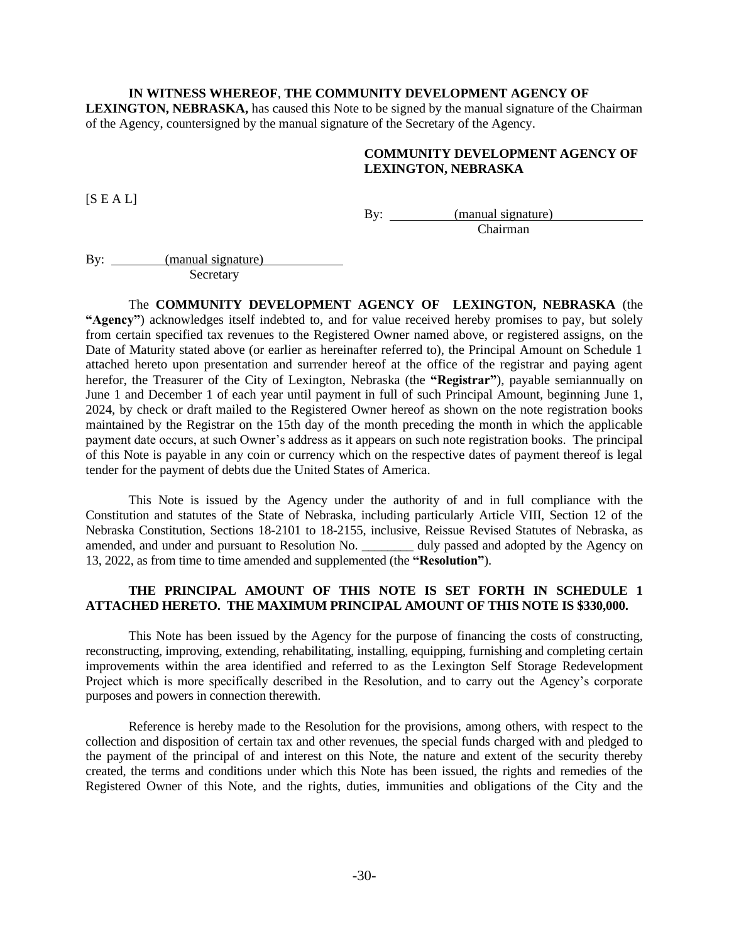#### **IN WITNESS WHEREOF**, **THE COMMUNITY DEVELOPMENT AGENCY OF**

**LEXINGTON, NEBRASKA,** has caused this Note to be signed by the manual signature of the Chairman of the Agency, countersigned by the manual signature of the Secretary of the Agency.

## **COMMUNITY DEVELOPMENT AGENCY OF LEXINGTON, NEBRASKA**

 $[S E A L]$ 

By: <u>(manual signature)</u> Chairman

By: (manual signature) **Secretary** 

The **COMMUNITY DEVELOPMENT AGENCY OF LEXINGTON, NEBRASKA** (the **"Agency"**) acknowledges itself indebted to, and for value received hereby promises to pay, but solely from certain specified tax revenues to the Registered Owner named above, or registered assigns, on the Date of Maturity stated above (or earlier as hereinafter referred to), the Principal Amount on Schedule 1 attached hereto upon presentation and surrender hereof at the office of the registrar and paying agent herefor, the Treasurer of the City of Lexington, Nebraska (the **"Registrar"**), payable semiannually on June 1 and December 1 of each year until payment in full of such Principal Amount, beginning June 1, 2024, by check or draft mailed to the Registered Owner hereof as shown on the note registration books maintained by the Registrar on the 15th day of the month preceding the month in which the applicable payment date occurs, at such Owner's address as it appears on such note registration books. The principal of this Note is payable in any coin or currency which on the respective dates of payment thereof is legal tender for the payment of debts due the United States of America.

This Note is issued by the Agency under the authority of and in full compliance with the Constitution and statutes of the State of Nebraska, including particularly Article VIII, Section 12 of the Nebraska Constitution, Sections 18-2101 to 18-2155, inclusive, Reissue Revised Statutes of Nebraska, as amended, and under and pursuant to Resolution No. \_\_\_\_\_\_\_\_ duly passed and adopted by the Agency on 13, 2022, as from time to time amended and supplemented (the **"Resolution"**).

# **THE PRINCIPAL AMOUNT OF THIS NOTE IS SET FORTH IN SCHEDULE 1 ATTACHED HERETO. THE MAXIMUM PRINCIPAL AMOUNT OF THIS NOTE IS \$330,000.**

This Note has been issued by the Agency for the purpose of financing the costs of constructing, reconstructing, improving, extending, rehabilitating, installing, equipping, furnishing and completing certain improvements within the area identified and referred to as the Lexington Self Storage Redevelopment Project which is more specifically described in the Resolution, and to carry out the Agency's corporate purposes and powers in connection therewith.

Reference is hereby made to the Resolution for the provisions, among others, with respect to the collection and disposition of certain tax and other revenues, the special funds charged with and pledged to the payment of the principal of and interest on this Note, the nature and extent of the security thereby created, the terms and conditions under which this Note has been issued, the rights and remedies of the Registered Owner of this Note, and the rights, duties, immunities and obligations of the City and the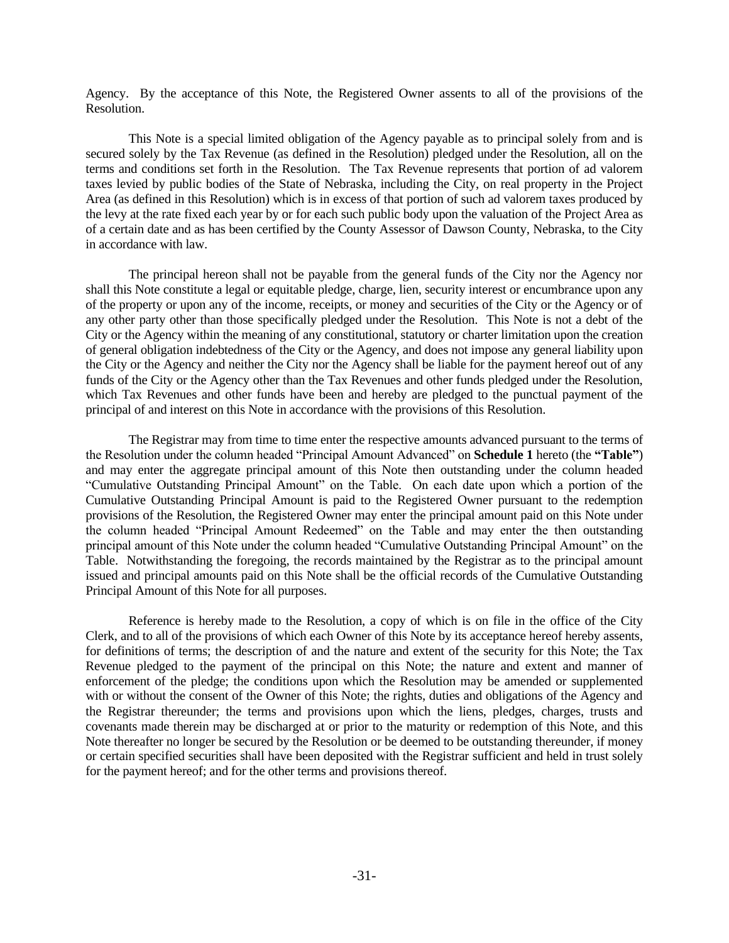Agency. By the acceptance of this Note, the Registered Owner assents to all of the provisions of the Resolution.

This Note is a special limited obligation of the Agency payable as to principal solely from and is secured solely by the Tax Revenue (as defined in the Resolution) pledged under the Resolution, all on the terms and conditions set forth in the Resolution. The Tax Revenue represents that portion of ad valorem taxes levied by public bodies of the State of Nebraska, including the City, on real property in the Project Area (as defined in this Resolution) which is in excess of that portion of such ad valorem taxes produced by the levy at the rate fixed each year by or for each such public body upon the valuation of the Project Area as of a certain date and as has been certified by the County Assessor of Dawson County, Nebraska, to the City in accordance with law.

The principal hereon shall not be payable from the general funds of the City nor the Agency nor shall this Note constitute a legal or equitable pledge, charge, lien, security interest or encumbrance upon any of the property or upon any of the income, receipts, or money and securities of the City or the Agency or of any other party other than those specifically pledged under the Resolution. This Note is not a debt of the City or the Agency within the meaning of any constitutional, statutory or charter limitation upon the creation of general obligation indebtedness of the City or the Agency, and does not impose any general liability upon the City or the Agency and neither the City nor the Agency shall be liable for the payment hereof out of any funds of the City or the Agency other than the Tax Revenues and other funds pledged under the Resolution, which Tax Revenues and other funds have been and hereby are pledged to the punctual payment of the principal of and interest on this Note in accordance with the provisions of this Resolution.

The Registrar may from time to time enter the respective amounts advanced pursuant to the terms of the Resolution under the column headed "Principal Amount Advanced" on **Schedule 1** hereto (the **"Table"**) and may enter the aggregate principal amount of this Note then outstanding under the column headed "Cumulative Outstanding Principal Amount" on the Table. On each date upon which a portion of the Cumulative Outstanding Principal Amount is paid to the Registered Owner pursuant to the redemption provisions of the Resolution, the Registered Owner may enter the principal amount paid on this Note under the column headed "Principal Amount Redeemed" on the Table and may enter the then outstanding principal amount of this Note under the column headed "Cumulative Outstanding Principal Amount" on the Table. Notwithstanding the foregoing, the records maintained by the Registrar as to the principal amount issued and principal amounts paid on this Note shall be the official records of the Cumulative Outstanding Principal Amount of this Note for all purposes.

Reference is hereby made to the Resolution, a copy of which is on file in the office of the City Clerk, and to all of the provisions of which each Owner of this Note by its acceptance hereof hereby assents, for definitions of terms; the description of and the nature and extent of the security for this Note; the Tax Revenue pledged to the payment of the principal on this Note; the nature and extent and manner of enforcement of the pledge; the conditions upon which the Resolution may be amended or supplemented with or without the consent of the Owner of this Note; the rights, duties and obligations of the Agency and the Registrar thereunder; the terms and provisions upon which the liens, pledges, charges, trusts and covenants made therein may be discharged at or prior to the maturity or redemption of this Note, and this Note thereafter no longer be secured by the Resolution or be deemed to be outstanding thereunder, if money or certain specified securities shall have been deposited with the Registrar sufficient and held in trust solely for the payment hereof; and for the other terms and provisions thereof.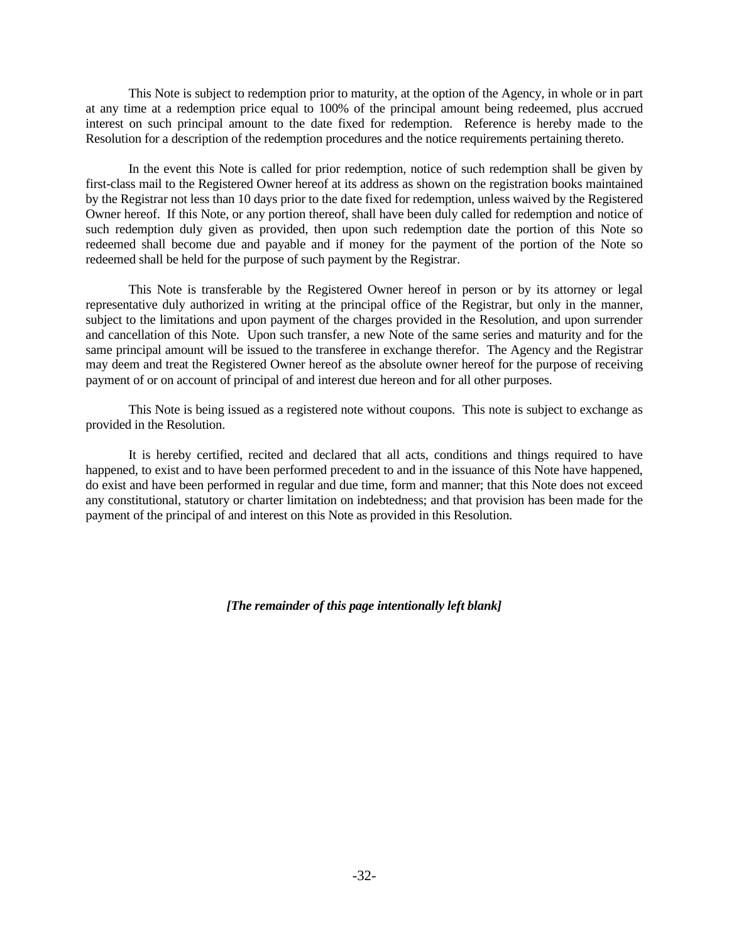This Note is subject to redemption prior to maturity, at the option of the Agency, in whole or in part at any time at a redemption price equal to 100% of the principal amount being redeemed, plus accrued interest on such principal amount to the date fixed for redemption. Reference is hereby made to the Resolution for a description of the redemption procedures and the notice requirements pertaining thereto.

In the event this Note is called for prior redemption, notice of such redemption shall be given by first-class mail to the Registered Owner hereof at its address as shown on the registration books maintained by the Registrar not less than 10 days prior to the date fixed for redemption, unless waived by the Registered Owner hereof. If this Note, or any portion thereof, shall have been duly called for redemption and notice of such redemption duly given as provided, then upon such redemption date the portion of this Note so redeemed shall become due and payable and if money for the payment of the portion of the Note so redeemed shall be held for the purpose of such payment by the Registrar.

This Note is transferable by the Registered Owner hereof in person or by its attorney or legal representative duly authorized in writing at the principal office of the Registrar, but only in the manner, subject to the limitations and upon payment of the charges provided in the Resolution, and upon surrender and cancellation of this Note. Upon such transfer, a new Note of the same series and maturity and for the same principal amount will be issued to the transferee in exchange therefor. The Agency and the Registrar may deem and treat the Registered Owner hereof as the absolute owner hereof for the purpose of receiving payment of or on account of principal of and interest due hereon and for all other purposes.

This Note is being issued as a registered note without coupons. This note is subject to exchange as provided in the Resolution.

It is hereby certified, recited and declared that all acts, conditions and things required to have happened, to exist and to have been performed precedent to and in the issuance of this Note have happened, do exist and have been performed in regular and due time, form and manner; that this Note does not exceed any constitutional, statutory or charter limitation on indebtedness; and that provision has been made for the payment of the principal of and interest on this Note as provided in this Resolution.

*[The remainder of this page intentionally left blank]*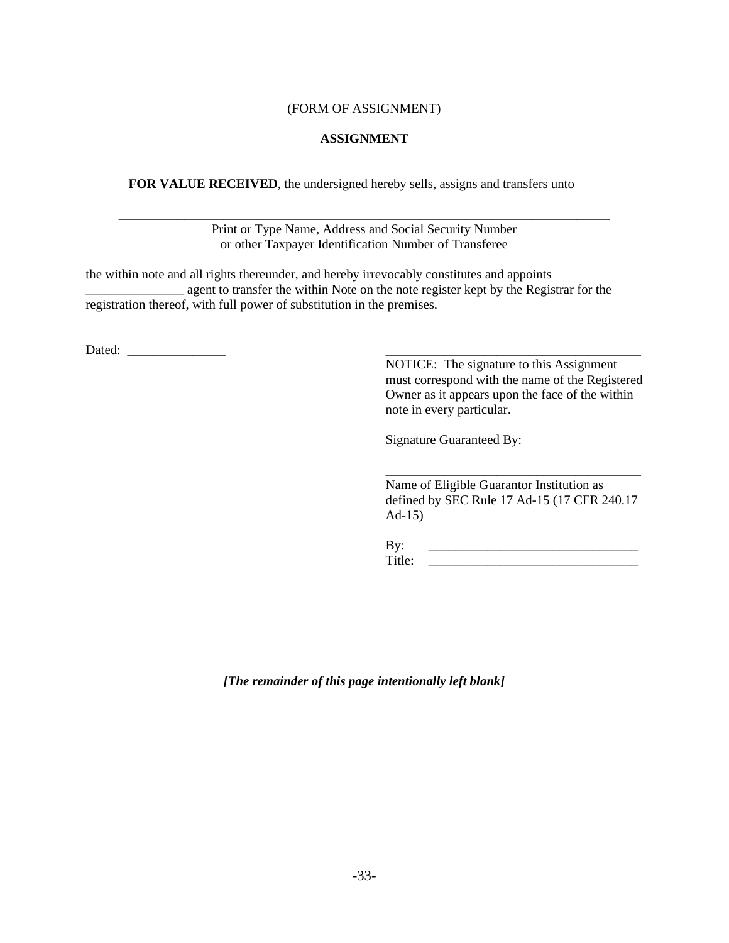## (FORM OF ASSIGNMENT)

## **ASSIGNMENT**

**FOR VALUE RECEIVED**, the undersigned hereby sells, assigns and transfers unto

\_\_\_\_\_\_\_\_\_\_\_\_\_\_\_\_\_\_\_\_\_\_\_\_\_\_\_\_\_\_\_\_\_\_\_\_\_\_\_\_\_\_\_\_\_\_\_\_\_\_\_\_\_\_\_\_\_\_\_\_\_\_\_\_\_\_\_\_\_\_\_\_\_\_\_ Print or Type Name, Address and Social Security Number or other Taxpayer Identification Number of Transferee

the within note and all rights thereunder, and hereby irrevocably constitutes and appoints \_\_\_\_\_\_\_\_\_\_\_\_\_\_\_ agent to transfer the within Note on the note register kept by the Registrar for the registration thereof, with full power of substitution in the premises.

Dated: \_\_\_\_\_\_\_\_\_\_\_\_\_\_\_ \_\_\_\_\_\_\_\_\_\_\_\_\_\_\_\_\_\_\_\_\_\_\_\_\_\_\_\_\_\_\_\_\_\_\_\_\_\_\_

NOTICE: The signature to this Assignment must correspond with the name of the Registered Owner as it appears upon the face of the within note in every particular.

Signature Guaranteed By:

Name of Eligible Guarantor Institution as defined by SEC Rule 17 Ad-15 (17 CFR 240.17 Ad-15)

\_\_\_\_\_\_\_\_\_\_\_\_\_\_\_\_\_\_\_\_\_\_\_\_\_\_\_\_\_\_\_\_\_\_\_\_\_\_\_

By: \_\_\_\_\_\_\_\_\_\_\_\_\_\_\_\_\_\_\_\_\_\_\_\_\_\_\_\_\_\_\_\_ Title: \_\_\_\_\_\_\_\_\_\_\_\_\_\_\_\_\_\_\_\_\_\_\_\_\_\_\_\_\_\_\_\_

*[The remainder of this page intentionally left blank]*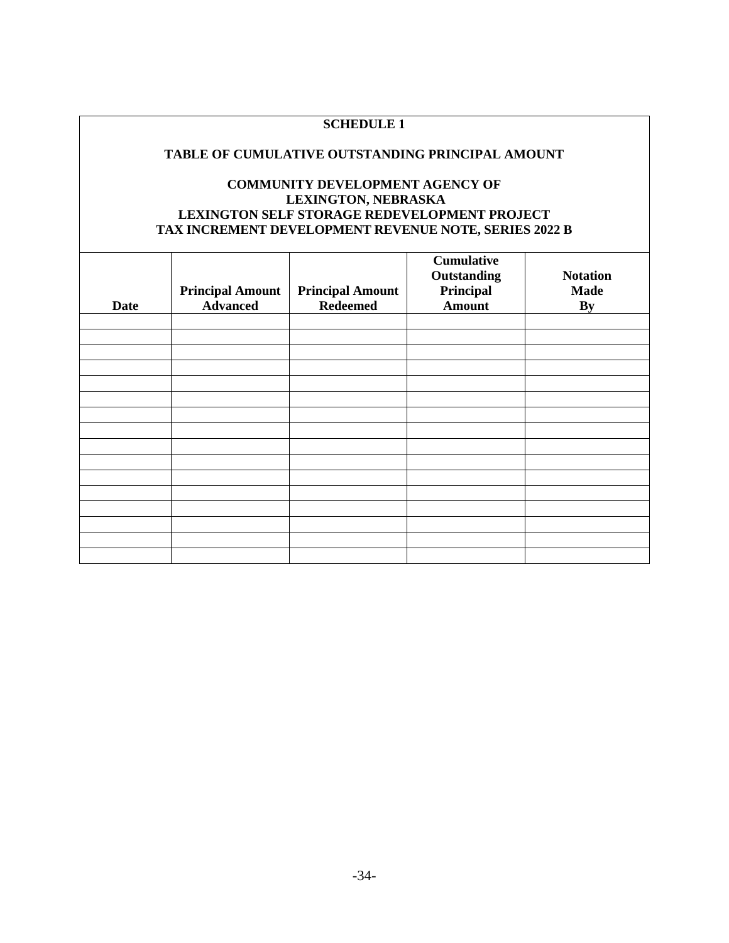# **SCHEDULE 1**

### **TABLE OF CUMULATIVE OUTSTANDING PRINCIPAL AMOUNT**

# **COMMUNITY DEVELOPMENT AGENCY OF LEXINGTON, NEBRASKA LEXINGTON SELF STORAGE REDEVELOPMENT PROJECT TAX INCREMENT DEVELOPMENT REVENUE NOTE, SERIES 2022 B**

| <b>Date</b> | <b>Principal Amount</b><br><b>Advanced</b> | <b>Principal Amount</b><br><b>Redeemed</b> | <b>Cumulative</b><br>Outstanding<br>Principal<br><b>Amount</b> | <b>Notation</b><br><b>Made</b><br>By |
|-------------|--------------------------------------------|--------------------------------------------|----------------------------------------------------------------|--------------------------------------|
|             |                                            |                                            |                                                                |                                      |
|             |                                            |                                            |                                                                |                                      |
|             |                                            |                                            |                                                                |                                      |
|             |                                            |                                            |                                                                |                                      |
|             |                                            |                                            |                                                                |                                      |
|             |                                            |                                            |                                                                |                                      |
|             |                                            |                                            |                                                                |                                      |
|             |                                            |                                            |                                                                |                                      |
|             |                                            |                                            |                                                                |                                      |
|             |                                            |                                            |                                                                |                                      |
|             |                                            |                                            |                                                                |                                      |
|             |                                            |                                            |                                                                |                                      |
|             |                                            |                                            |                                                                |                                      |
|             |                                            |                                            |                                                                |                                      |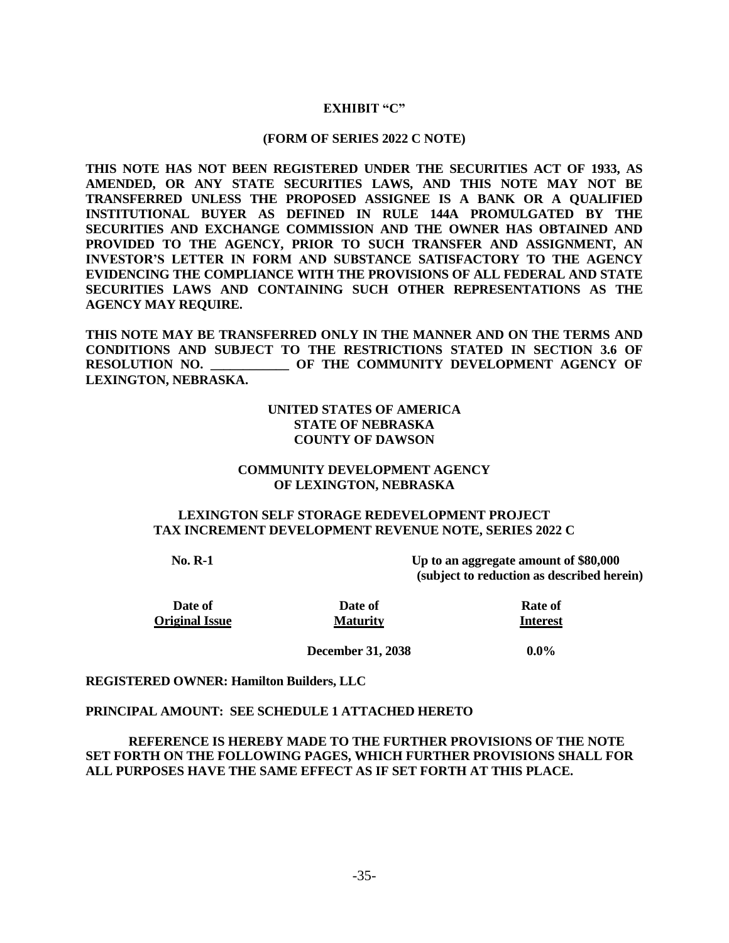# **EXHIBIT "C"**

#### **(FORM OF SERIES 2022 C NOTE)**

**THIS NOTE HAS NOT BEEN REGISTERED UNDER THE SECURITIES ACT OF 1933, AS AMENDED, OR ANY STATE SECURITIES LAWS, AND THIS NOTE MAY NOT BE TRANSFERRED UNLESS THE PROPOSED ASSIGNEE IS A BANK OR A QUALIFIED INSTITUTIONAL BUYER AS DEFINED IN RULE 144A PROMULGATED BY THE SECURITIES AND EXCHANGE COMMISSION AND THE OWNER HAS OBTAINED AND PROVIDED TO THE AGENCY, PRIOR TO SUCH TRANSFER AND ASSIGNMENT, AN INVESTOR'S LETTER IN FORM AND SUBSTANCE SATISFACTORY TO THE AGENCY EVIDENCING THE COMPLIANCE WITH THE PROVISIONS OF ALL FEDERAL AND STATE SECURITIES LAWS AND CONTAINING SUCH OTHER REPRESENTATIONS AS THE AGENCY MAY REQUIRE.** 

**THIS NOTE MAY BE TRANSFERRED ONLY IN THE MANNER AND ON THE TERMS AND CONDITIONS AND SUBJECT TO THE RESTRICTIONS STATED IN SECTION 3.6 OF RESOLUTION NO. \_\_\_\_\_\_\_\_\_\_\_\_ OF THE COMMUNITY DEVELOPMENT AGENCY OF LEXINGTON, NEBRASKA.**

## **UNITED STATES OF AMERICA STATE OF NEBRASKA COUNTY OF DAWSON**

## **COMMUNITY DEVELOPMENT AGENCY OF LEXINGTON, NEBRASKA**

### **LEXINGTON SELF STORAGE REDEVELOPMENT PROJECT TAX INCREMENT DEVELOPMENT REVENUE NOTE, SERIES 2022 C**

**No. R-1 Up to an aggregate amount of \$80,000 (subject to reduction as described herein)**

**Date of Rate of Rate of Original Issue Maturity Interest**

**December 31, 2038 0.0%**

## **REGISTERED OWNER: Hamilton Builders, LLC**

#### **PRINCIPAL AMOUNT: SEE SCHEDULE 1 ATTACHED HERETO**

**REFERENCE IS HEREBY MADE TO THE FURTHER PROVISIONS OF THE NOTE SET FORTH ON THE FOLLOWING PAGES, WHICH FURTHER PROVISIONS SHALL FOR ALL PURPOSES HAVE THE SAME EFFECT AS IF SET FORTH AT THIS PLACE.**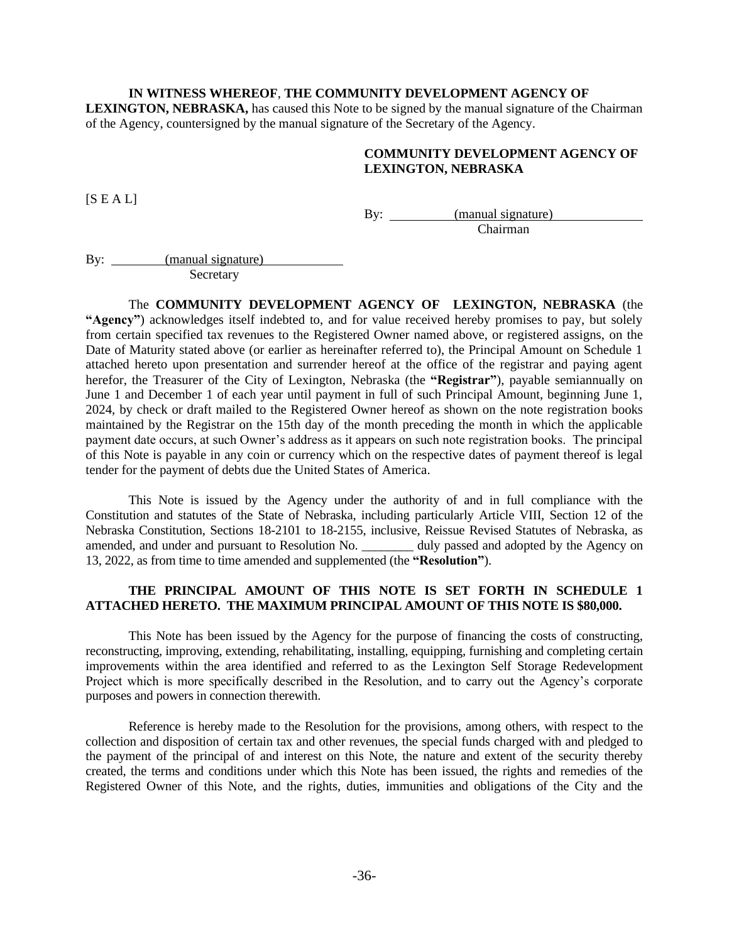### **IN WITNESS WHEREOF**, **THE COMMUNITY DEVELOPMENT AGENCY OF**

**LEXINGTON, NEBRASKA,** has caused this Note to be signed by the manual signature of the Chairman of the Agency, countersigned by the manual signature of the Secretary of the Agency.

## **COMMUNITY DEVELOPMENT AGENCY OF LEXINGTON, NEBRASKA**

 $[S E A L]$ 

By: <u>(manual signature)</u> Chairman

By: (manual signature) **Secretary** 

The **COMMUNITY DEVELOPMENT AGENCY OF LEXINGTON, NEBRASKA** (the **"Agency"**) acknowledges itself indebted to, and for value received hereby promises to pay, but solely from certain specified tax revenues to the Registered Owner named above, or registered assigns, on the Date of Maturity stated above (or earlier as hereinafter referred to), the Principal Amount on Schedule 1 attached hereto upon presentation and surrender hereof at the office of the registrar and paying agent herefor, the Treasurer of the City of Lexington, Nebraska (the **"Registrar"**), payable semiannually on June 1 and December 1 of each year until payment in full of such Principal Amount, beginning June 1, 2024, by check or draft mailed to the Registered Owner hereof as shown on the note registration books maintained by the Registrar on the 15th day of the month preceding the month in which the applicable payment date occurs, at such Owner's address as it appears on such note registration books. The principal of this Note is payable in any coin or currency which on the respective dates of payment thereof is legal tender for the payment of debts due the United States of America.

This Note is issued by the Agency under the authority of and in full compliance with the Constitution and statutes of the State of Nebraska, including particularly Article VIII, Section 12 of the Nebraska Constitution, Sections 18-2101 to 18-2155, inclusive, Reissue Revised Statutes of Nebraska, as amended, and under and pursuant to Resolution No. \_\_\_\_\_\_\_\_ duly passed and adopted by the Agency on 13, 2022, as from time to time amended and supplemented (the **"Resolution"**).

# **THE PRINCIPAL AMOUNT OF THIS NOTE IS SET FORTH IN SCHEDULE 1 ATTACHED HERETO. THE MAXIMUM PRINCIPAL AMOUNT OF THIS NOTE IS \$80,000.**

This Note has been issued by the Agency for the purpose of financing the costs of constructing, reconstructing, improving, extending, rehabilitating, installing, equipping, furnishing and completing certain improvements within the area identified and referred to as the Lexington Self Storage Redevelopment Project which is more specifically described in the Resolution, and to carry out the Agency's corporate purposes and powers in connection therewith.

Reference is hereby made to the Resolution for the provisions, among others, with respect to the collection and disposition of certain tax and other revenues, the special funds charged with and pledged to the payment of the principal of and interest on this Note, the nature and extent of the security thereby created, the terms and conditions under which this Note has been issued, the rights and remedies of the Registered Owner of this Note, and the rights, duties, immunities and obligations of the City and the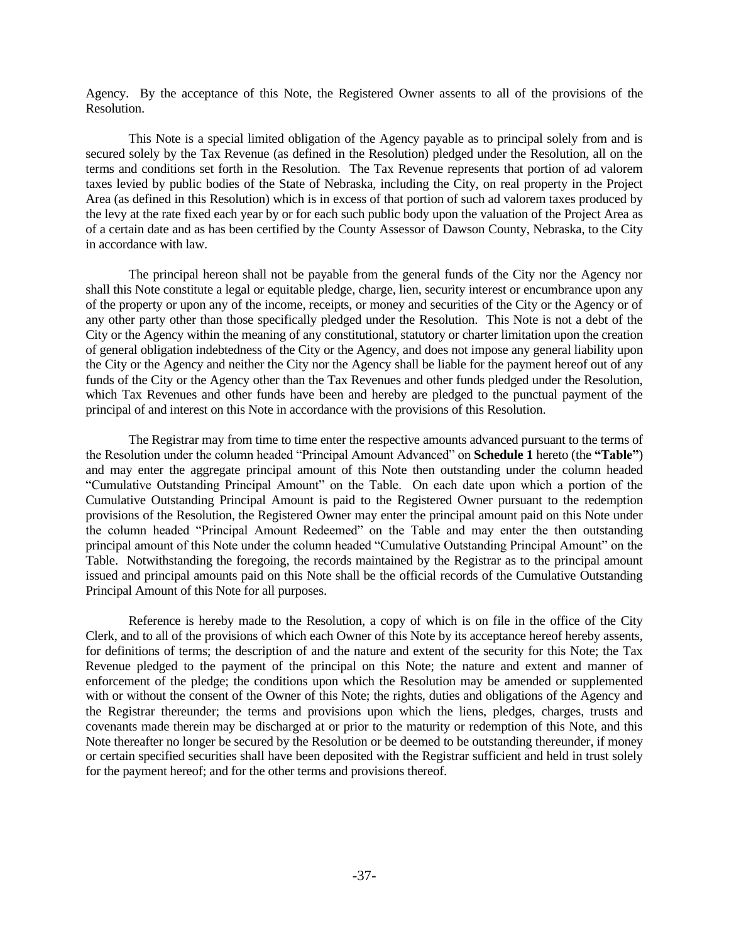Agency. By the acceptance of this Note, the Registered Owner assents to all of the provisions of the Resolution.

This Note is a special limited obligation of the Agency payable as to principal solely from and is secured solely by the Tax Revenue (as defined in the Resolution) pledged under the Resolution, all on the terms and conditions set forth in the Resolution. The Tax Revenue represents that portion of ad valorem taxes levied by public bodies of the State of Nebraska, including the City, on real property in the Project Area (as defined in this Resolution) which is in excess of that portion of such ad valorem taxes produced by the levy at the rate fixed each year by or for each such public body upon the valuation of the Project Area as of a certain date and as has been certified by the County Assessor of Dawson County, Nebraska, to the City in accordance with law.

The principal hereon shall not be payable from the general funds of the City nor the Agency nor shall this Note constitute a legal or equitable pledge, charge, lien, security interest or encumbrance upon any of the property or upon any of the income, receipts, or money and securities of the City or the Agency or of any other party other than those specifically pledged under the Resolution. This Note is not a debt of the City or the Agency within the meaning of any constitutional, statutory or charter limitation upon the creation of general obligation indebtedness of the City or the Agency, and does not impose any general liability upon the City or the Agency and neither the City nor the Agency shall be liable for the payment hereof out of any funds of the City or the Agency other than the Tax Revenues and other funds pledged under the Resolution, which Tax Revenues and other funds have been and hereby are pledged to the punctual payment of the principal of and interest on this Note in accordance with the provisions of this Resolution.

The Registrar may from time to time enter the respective amounts advanced pursuant to the terms of the Resolution under the column headed "Principal Amount Advanced" on **Schedule 1** hereto (the **"Table"**) and may enter the aggregate principal amount of this Note then outstanding under the column headed "Cumulative Outstanding Principal Amount" on the Table. On each date upon which a portion of the Cumulative Outstanding Principal Amount is paid to the Registered Owner pursuant to the redemption provisions of the Resolution, the Registered Owner may enter the principal amount paid on this Note under the column headed "Principal Amount Redeemed" on the Table and may enter the then outstanding principal amount of this Note under the column headed "Cumulative Outstanding Principal Amount" on the Table. Notwithstanding the foregoing, the records maintained by the Registrar as to the principal amount issued and principal amounts paid on this Note shall be the official records of the Cumulative Outstanding Principal Amount of this Note for all purposes.

Reference is hereby made to the Resolution, a copy of which is on file in the office of the City Clerk, and to all of the provisions of which each Owner of this Note by its acceptance hereof hereby assents, for definitions of terms; the description of and the nature and extent of the security for this Note; the Tax Revenue pledged to the payment of the principal on this Note; the nature and extent and manner of enforcement of the pledge; the conditions upon which the Resolution may be amended or supplemented with or without the consent of the Owner of this Note; the rights, duties and obligations of the Agency and the Registrar thereunder; the terms and provisions upon which the liens, pledges, charges, trusts and covenants made therein may be discharged at or prior to the maturity or redemption of this Note, and this Note thereafter no longer be secured by the Resolution or be deemed to be outstanding thereunder, if money or certain specified securities shall have been deposited with the Registrar sufficient and held in trust solely for the payment hereof; and for the other terms and provisions thereof.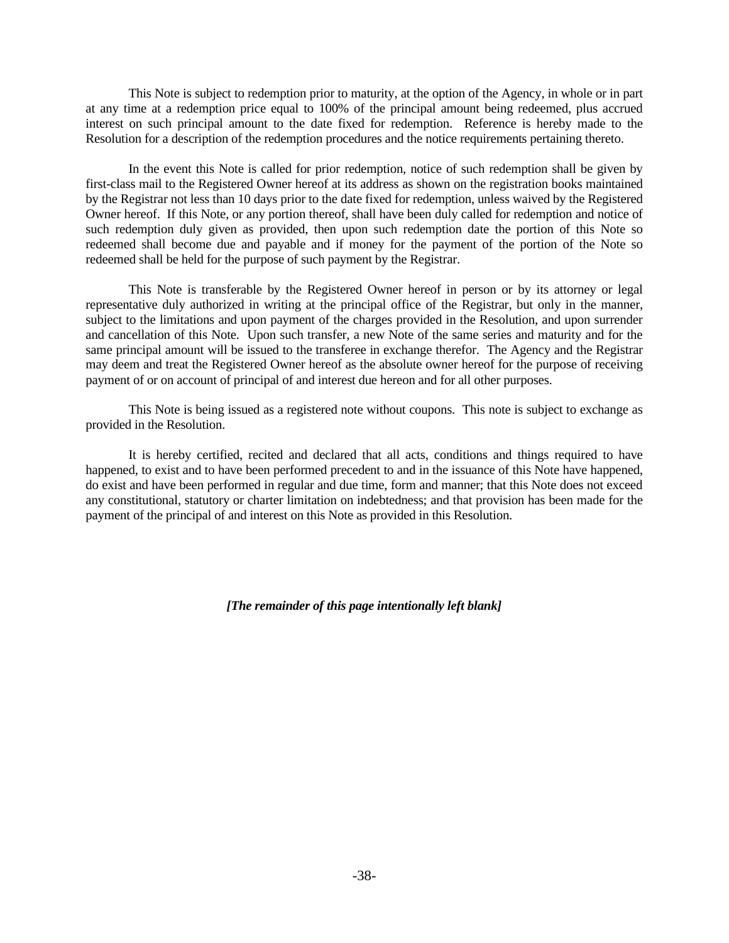This Note is subject to redemption prior to maturity, at the option of the Agency, in whole or in part at any time at a redemption price equal to 100% of the principal amount being redeemed, plus accrued interest on such principal amount to the date fixed for redemption. Reference is hereby made to the Resolution for a description of the redemption procedures and the notice requirements pertaining thereto.

In the event this Note is called for prior redemption, notice of such redemption shall be given by first-class mail to the Registered Owner hereof at its address as shown on the registration books maintained by the Registrar not less than 10 days prior to the date fixed for redemption, unless waived by the Registered Owner hereof. If this Note, or any portion thereof, shall have been duly called for redemption and notice of such redemption duly given as provided, then upon such redemption date the portion of this Note so redeemed shall become due and payable and if money for the payment of the portion of the Note so redeemed shall be held for the purpose of such payment by the Registrar.

This Note is transferable by the Registered Owner hereof in person or by its attorney or legal representative duly authorized in writing at the principal office of the Registrar, but only in the manner, subject to the limitations and upon payment of the charges provided in the Resolution, and upon surrender and cancellation of this Note. Upon such transfer, a new Note of the same series and maturity and for the same principal amount will be issued to the transferee in exchange therefor. The Agency and the Registrar may deem and treat the Registered Owner hereof as the absolute owner hereof for the purpose of receiving payment of or on account of principal of and interest due hereon and for all other purposes.

This Note is being issued as a registered note without coupons. This note is subject to exchange as provided in the Resolution.

It is hereby certified, recited and declared that all acts, conditions and things required to have happened, to exist and to have been performed precedent to and in the issuance of this Note have happened, do exist and have been performed in regular and due time, form and manner; that this Note does not exceed any constitutional, statutory or charter limitation on indebtedness; and that provision has been made for the payment of the principal of and interest on this Note as provided in this Resolution.

*[The remainder of this page intentionally left blank]*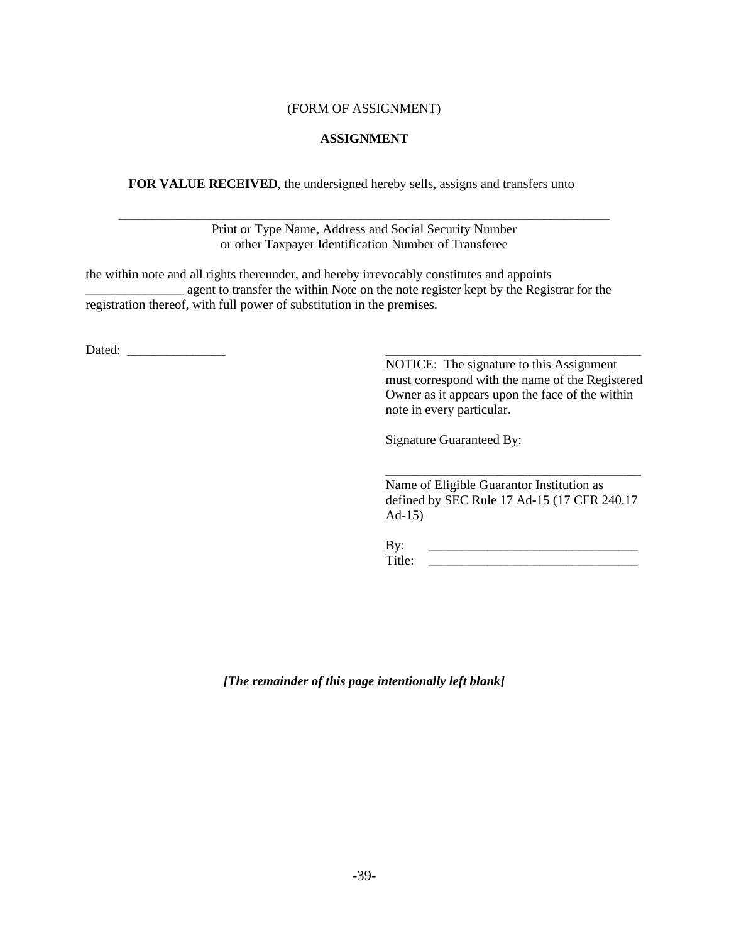## (FORM OF ASSIGNMENT)

## **ASSIGNMENT**

**FOR VALUE RECEIVED**, the undersigned hereby sells, assigns and transfers unto

\_\_\_\_\_\_\_\_\_\_\_\_\_\_\_\_\_\_\_\_\_\_\_\_\_\_\_\_\_\_\_\_\_\_\_\_\_\_\_\_\_\_\_\_\_\_\_\_\_\_\_\_\_\_\_\_\_\_\_\_\_\_\_\_\_\_\_\_\_\_\_\_\_\_\_ Print or Type Name, Address and Social Security Number or other Taxpayer Identification Number of Transferee

the within note and all rights thereunder, and hereby irrevocably constitutes and appoints \_\_\_\_\_\_\_\_\_\_\_\_\_\_\_ agent to transfer the within Note on the note register kept by the Registrar for the registration thereof, with full power of substitution in the premises.

Dated: \_\_\_\_\_\_\_\_\_\_\_\_\_\_\_ \_\_\_\_\_\_\_\_\_\_\_\_\_\_\_\_\_\_\_\_\_\_\_\_\_\_\_\_\_\_\_\_\_\_\_\_\_\_\_

NOTICE: The signature to this Assignment must correspond with the name of the Registered Owner as it appears upon the face of the within note in every particular.

Signature Guaranteed By:

Name of Eligible Guarantor Institution as defined by SEC Rule 17 Ad-15 (17 CFR 240.17 Ad-15)

\_\_\_\_\_\_\_\_\_\_\_\_\_\_\_\_\_\_\_\_\_\_\_\_\_\_\_\_\_\_\_\_\_\_\_\_\_\_\_

By: \_\_\_\_\_\_\_\_\_\_\_\_\_\_\_\_\_\_\_\_\_\_\_\_\_\_\_\_\_\_\_\_ Title: \_\_\_\_\_\_\_\_\_\_\_\_\_\_\_\_\_\_\_\_\_\_\_\_\_\_\_\_\_\_\_\_

*[The remainder of this page intentionally left blank]*